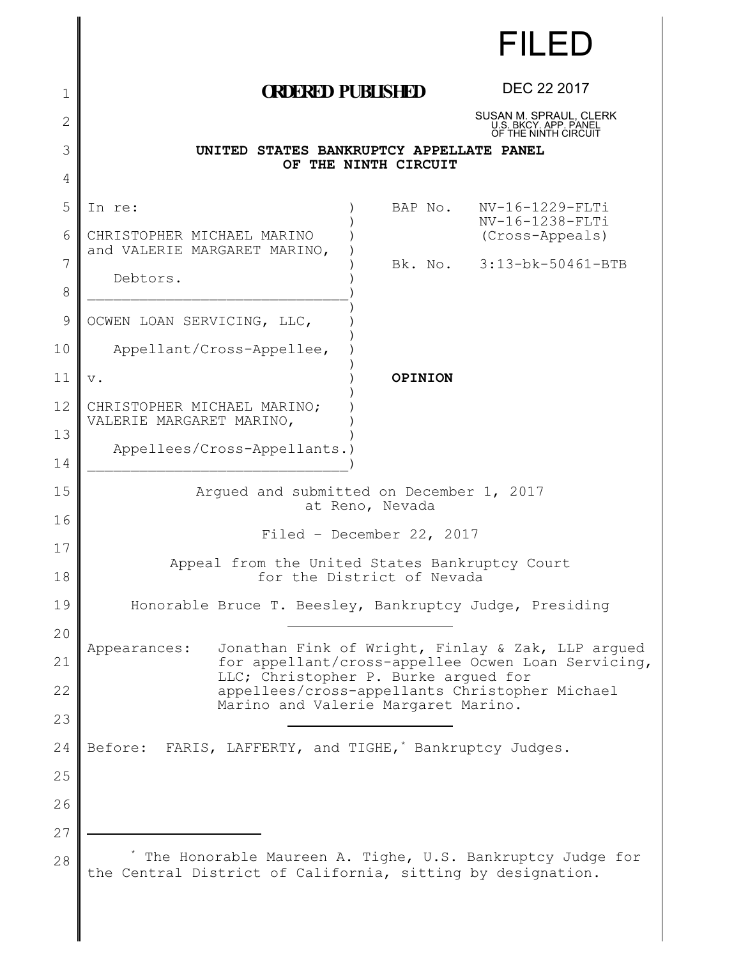|              |                                                                                                                          |                      |  | <b>FILED</b>                                                                                            |  |
|--------------|--------------------------------------------------------------------------------------------------------------------------|----------------------|--|---------------------------------------------------------------------------------------------------------|--|
| 1            | <b><i>ORDERED PUBLISHED</i></b>                                                                                          |                      |  | DEC 22 2017                                                                                             |  |
| $\mathbf{2}$ |                                                                                                                          |                      |  | SUSAN M. SPRAUL, CLERK<br>U.S. BKCY. APP. PANEL<br>OF THE NINTH CIRCUIT                                 |  |
| 3            | UNITED STATES BANKRUPTCY APPELLATE PANEL                                                                                 |                      |  |                                                                                                         |  |
| 4            |                                                                                                                          | OF THE NINTH CIRCUIT |  |                                                                                                         |  |
| 5            | In re:                                                                                                                   | BAP No.              |  | NV-16-1229-FLTi                                                                                         |  |
| 6            | CHRISTOPHER MICHAEL MARINO<br>and VALERIE MARGARET MARINO,                                                               |                      |  | NV-16-1238-FLTi<br>(Cross-Appeals)                                                                      |  |
| 7            | Debtors.                                                                                                                 |                      |  | Bk. No. 3:13-bk-50461-BTB                                                                               |  |
| 8            |                                                                                                                          |                      |  |                                                                                                         |  |
| 9            | OCWEN LOAN SERVICING, LLC,                                                                                               |                      |  |                                                                                                         |  |
| 10           | Appellant/Cross-Appellee,                                                                                                |                      |  |                                                                                                         |  |
| 11           | $\mathbf v$ .                                                                                                            | OPINION              |  |                                                                                                         |  |
| 12           | CHRISTOPHER MICHAEL MARINO;<br>VALERIE MARGARET MARINO,                                                                  |                      |  |                                                                                                         |  |
| 13           | Appellees/Cross-Appellants.)                                                                                             |                      |  |                                                                                                         |  |
| 14           |                                                                                                                          |                      |  |                                                                                                         |  |
| 15           | Arqued and submitted on December 1, 2017<br>at Reno, Nevada                                                              |                      |  |                                                                                                         |  |
| 16           | Filed - December 22, 2017                                                                                                |                      |  |                                                                                                         |  |
| 17           | Appeal from the United States Bankruptcy Court                                                                           |                      |  |                                                                                                         |  |
| 18           | for the District of Nevada                                                                                               |                      |  |                                                                                                         |  |
| 19<br>20     | Honorable Bruce T. Beesley, Bankruptcy Judge, Presiding                                                                  |                      |  |                                                                                                         |  |
| 21           | Appearances:                                                                                                             |                      |  | Jonathan Fink of Wright, Finlay & Zak, LLP argued<br>for appellant/cross-appellee Ocwen Loan Servicing, |  |
| 22           | LLC; Christopher P. Burke arqued for                                                                                     |                      |  | appellees/cross-appellants Christopher Michael                                                          |  |
| 23           | Marino and Valerie Margaret Marino.                                                                                      |                      |  |                                                                                                         |  |
| 24           | Before: FARIS, LAFFERTY, and TIGHE,' Bankruptcy Judges.                                                                  |                      |  |                                                                                                         |  |
| 25           |                                                                                                                          |                      |  |                                                                                                         |  |
| 26           |                                                                                                                          |                      |  |                                                                                                         |  |
| 27           |                                                                                                                          |                      |  |                                                                                                         |  |
| 28           | The Honorable Maureen A. Tighe, U.S. Bankruptcy Judge for<br>the Central District of California, sitting by designation. |                      |  |                                                                                                         |  |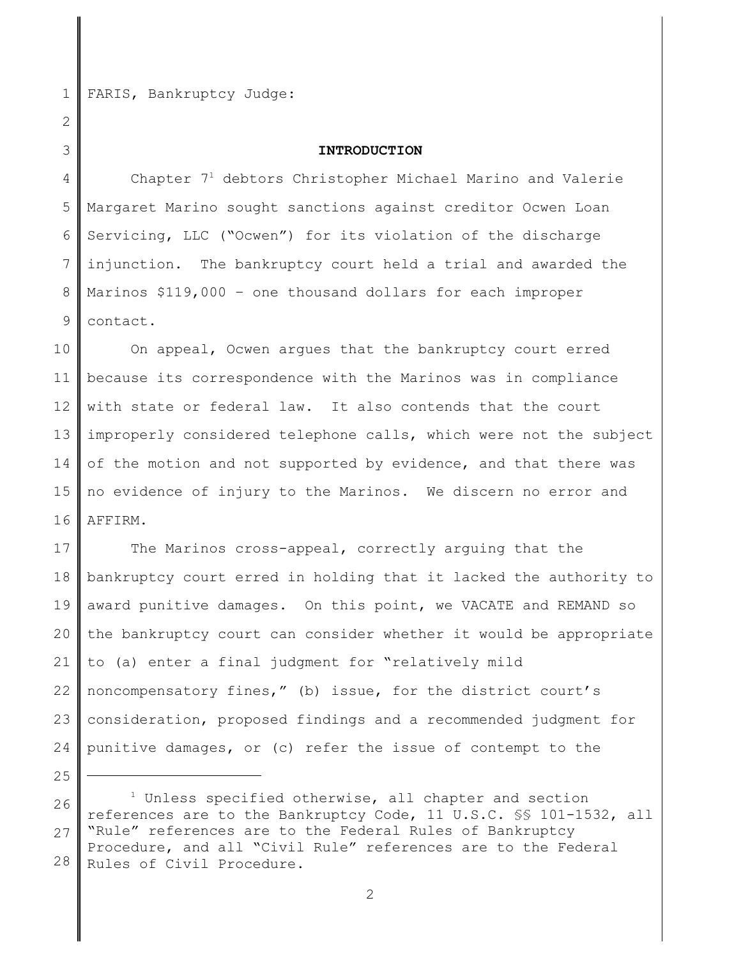1 2

3

25

FARIS, Bankruptcy Judge:

## **INTRODUCTION**

4 5 6 7 8 9 Chapter  $7<sup>1</sup>$  debtors Christopher Michael Marino and Valerie Margaret Marino sought sanctions against creditor Ocwen Loan Servicing, LLC ("Ocwen") for its violation of the discharge injunction. The bankruptcy court held a trial and awarded the Marinos \$119,000 – one thousand dollars for each improper contact.

10 11 12 13 14 15 16 On appeal, Ocwen argues that the bankruptcy court erred because its correspondence with the Marinos was in compliance with state or federal law. It also contends that the court improperly considered telephone calls, which were not the subject of the motion and not supported by evidence, and that there was no evidence of injury to the Marinos. We discern no error and AFFIRM.

17 18 19 20 21 22 23 24 The Marinos cross-appeal, correctly arguing that the bankruptcy court erred in holding that it lacked the authority to award punitive damages. On this point, we VACATE and REMAND so the bankruptcy court can consider whether it would be appropriate to (a) enter a final judgment for "relatively mild noncompensatory fines," (b) issue, for the district court's consideration, proposed findings and a recommended judgment for punitive damages, or (c) refer the issue of contempt to the

26 27 28  $1$  Unless specified otherwise, all chapter and section references are to the Bankruptcy Code, 11 U.S.C. §§ 101-1532, all "Rule" references are to the Federal Rules of Bankruptcy Procedure, and all "Civil Rule" references are to the Federal Rules of Civil Procedure.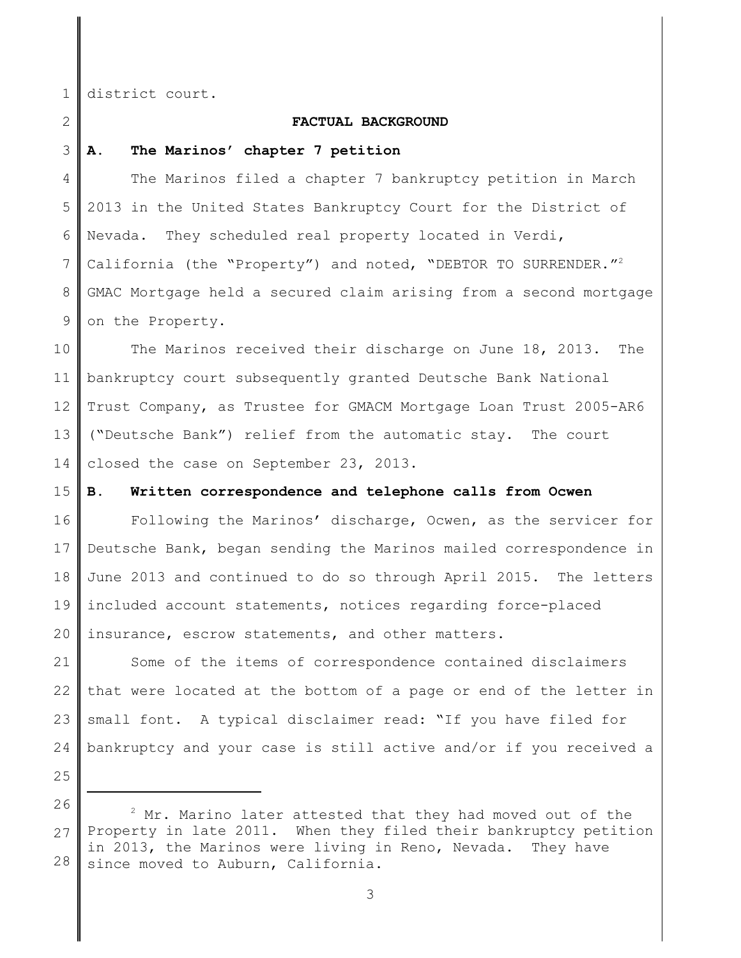1

2

# **FACTUAL BACKGROUND**

3 **A. The Marinos' chapter 7 petition**

district court.

4 5 6 7 8 9 The Marinos filed a chapter 7 bankruptcy petition in March 2013 in the United States Bankruptcy Court for the District of Nevada. They scheduled real property located in Verdi, California (the "Property") and noted, "DEBTOR TO SURRENDER."<sup>2</sup> GMAC Mortgage held a secured claim arising from a second mortgage on the Property.

10 11 12 13 14 The Marinos received their discharge on June 18, 2013. The bankruptcy court subsequently granted Deutsche Bank National Trust Company, as Trustee for GMACM Mortgage Loan Trust 2005-AR6 ("Deutsche Bank") relief from the automatic stay. The court closed the case on September 23, 2013.

#### 15 **B. Written correspondence and telephone calls from Ocwen**

16 17 18 19 20 Following the Marinos' discharge, Ocwen, as the servicer for Deutsche Bank, began sending the Marinos mailed correspondence in June 2013 and continued to do so through April 2015. The letters included account statements, notices regarding force-placed insurance, escrow statements, and other matters.

21 22 23 24 Some of the items of correspondence contained disclaimers that were located at the bottom of a page or end of the letter in small font. A typical disclaimer read: "If you have filed for bankruptcy and your case is still active and/or if you received a

<sup>26</sup> 27 28  $2$  Mr. Marino later attested that they had moved out of the Property in late 2011. When they filed their bankruptcy petition in 2013, the Marinos were living in Reno, Nevada. They have since moved to Auburn, California.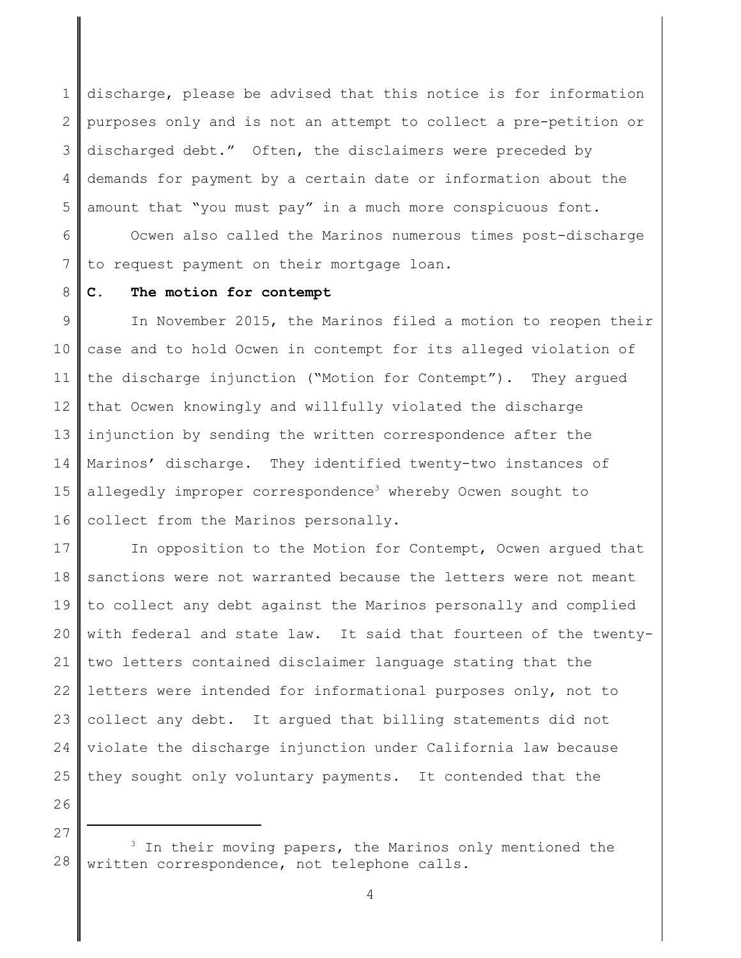1 2 3 4 5 discharge, please be advised that this notice is for information purposes only and is not an attempt to collect a pre-petition or discharged debt." Often, the disclaimers were preceded by demands for payment by a certain date or information about the amount that "you must pay" in a much more conspicuous font.

6 7 Ocwen also called the Marinos numerous times post-discharge to request payment on their mortgage loan.

#### 8 **C. The motion for contempt**

9 10 11 12 13 14 15 16 In November 2015, the Marinos filed a motion to reopen their case and to hold Ocwen in contempt for its alleged violation of the discharge injunction ("Motion for Contempt"). They argued that Ocwen knowingly and willfully violated the discharge injunction by sending the written correspondence after the Marinos' discharge. They identified twenty-two instances of allegedly improper correspondence<sup>3</sup> whereby Ocwen sought to collect from the Marinos personally.

17 18 19 20 21 22 23 24 25 In opposition to the Motion for Contempt, Ocwen argued that sanctions were not warranted because the letters were not meant to collect any debt against the Marinos personally and complied with federal and state law. It said that fourteen of the twentytwo letters contained disclaimer language stating that the letters were intended for informational purposes only, not to collect any debt. It argued that billing statements did not violate the discharge injunction under California law because they sought only voluntary payments. It contended that the

<sup>28</sup>  $3$  In their moving papers, the Marinos only mentioned the written correspondence, not telephone calls.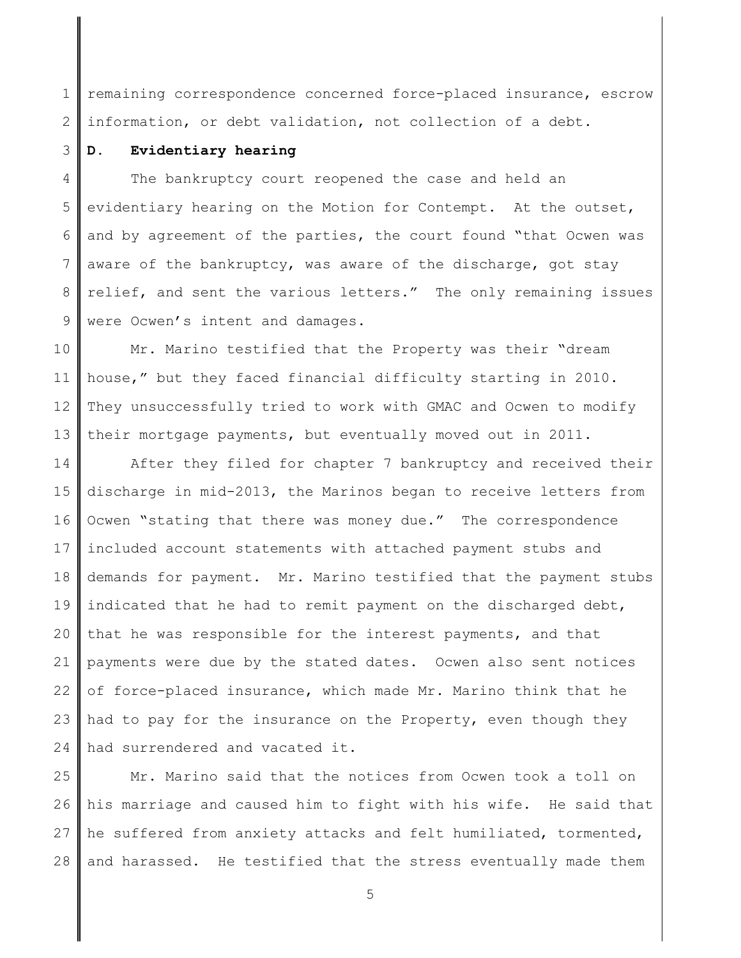1 2 remaining correspondence concerned force-placed insurance, escrow information, or debt validation, not collection of a debt.

#### 3 **D. Evidentiary hearing**

4 5 6 7 8 9 The bankruptcy court reopened the case and held an evidentiary hearing on the Motion for Contempt. At the outset, and by agreement of the parties, the court found "that Ocwen was aware of the bankruptcy, was aware of the discharge, got stay relief, and sent the various letters." The only remaining issues were Ocwen's intent and damages.

10 11 12 13 Mr. Marino testified that the Property was their "dream house," but they faced financial difficulty starting in 2010. They unsuccessfully tried to work with GMAC and Ocwen to modify their mortgage payments, but eventually moved out in 2011.

14 15 16 17 18 19 20 21 22 23 24 After they filed for chapter 7 bankruptcy and received their discharge in mid-2013, the Marinos began to receive letters from Ocwen "stating that there was money due." The correspondence included account statements with attached payment stubs and demands for payment. Mr. Marino testified that the payment stubs indicated that he had to remit payment on the discharged debt, that he was responsible for the interest payments, and that payments were due by the stated dates. Ocwen also sent notices of force-placed insurance, which made Mr. Marino think that he had to pay for the insurance on the Property, even though they had surrendered and vacated it.

25 26 27 28 Mr. Marino said that the notices from Ocwen took a toll on his marriage and caused him to fight with his wife. He said that he suffered from anxiety attacks and felt humiliated, tormented, and harassed. He testified that the stress eventually made them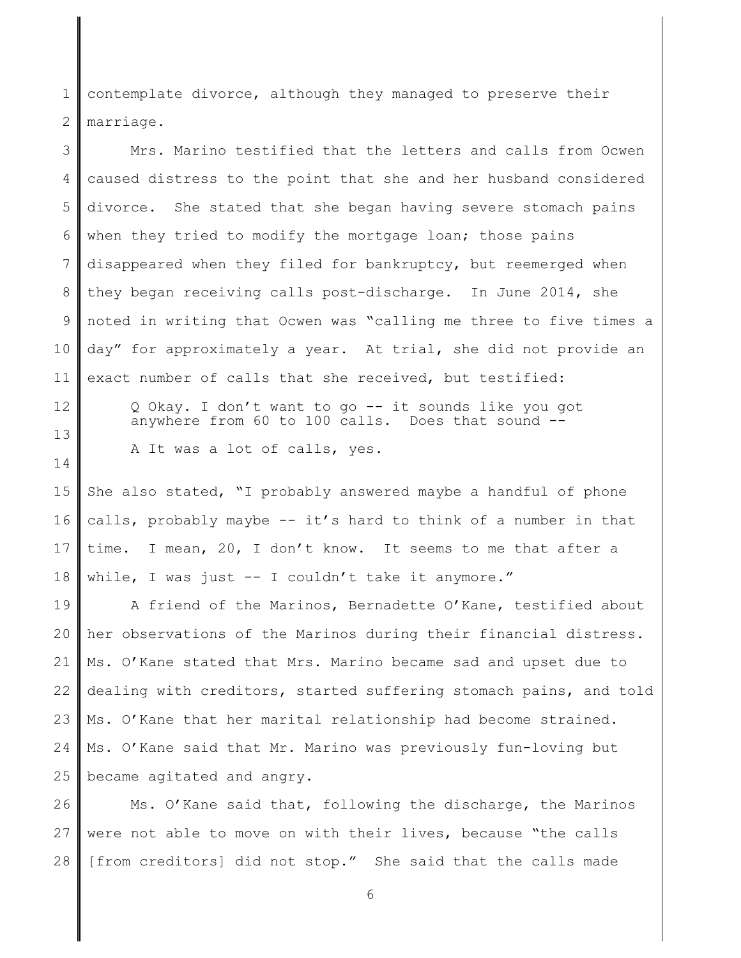1 2 contemplate divorce, although they managed to preserve their marriage.

3 4 5 6 7 8 9 10 11 Mrs. Marino testified that the letters and calls from Ocwen caused distress to the point that she and her husband considered divorce. She stated that she began having severe stomach pains when they tried to modify the mortgage loan; those pains disappeared when they filed for bankruptcy, but reemerged when they began receiving calls post-discharge. In June 2014, she noted in writing that Ocwen was "calling me three to five times a day" for approximately a year. At trial, she did not provide an exact number of calls that she received, but testified:

12

13

14

Q Okay. I don't want to go -- it sounds like you got anywhere from 60 to 100 calls. Does that sound -

A It was a lot of calls, yes.

15 16 17 18 She also stated, "I probably answered maybe a handful of phone calls, probably maybe -- it's hard to think of a number in that time. I mean, 20, I don't know. It seems to me that after a while, I was just -- I couldn't take it anymore."

19 20 21 22 23 24 25 A friend of the Marinos, Bernadette O'Kane, testified about her observations of the Marinos during their financial distress. Ms. O'Kane stated that Mrs. Marino became sad and upset due to dealing with creditors, started suffering stomach pains, and told Ms. O'Kane that her marital relationship had become strained. Ms. O'Kane said that Mr. Marino was previously fun-loving but became agitated and angry.

26 27 28 Ms. O'Kane said that, following the discharge, the Marinos were not able to move on with their lives, because "the calls [from creditors] did not stop." She said that the calls made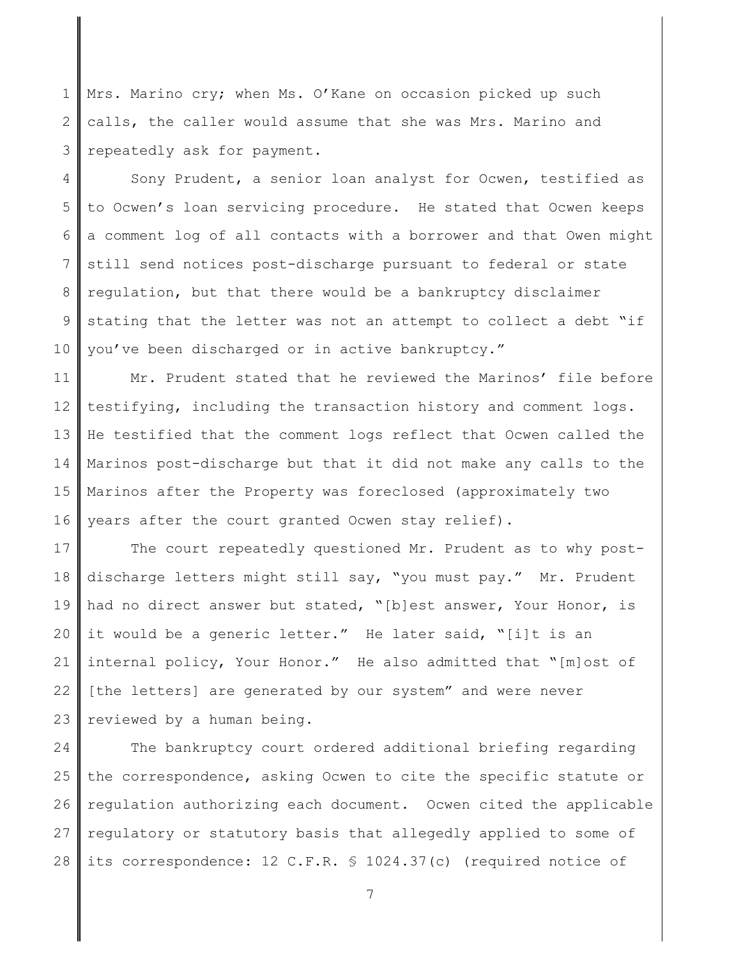1 2 3 Mrs. Marino cry; when Ms. O'Kane on occasion picked up such calls, the caller would assume that she was Mrs. Marino and repeatedly ask for payment.

4 5 6 7 8 9 10 Sony Prudent, a senior loan analyst for Ocwen, testified as to Ocwen's loan servicing procedure. He stated that Ocwen keeps a comment log of all contacts with a borrower and that Owen might still send notices post-discharge pursuant to federal or state regulation, but that there would be a bankruptcy disclaimer stating that the letter was not an attempt to collect a debt "if you've been discharged or in active bankruptcy."

11 12 13 14 15 16 Mr. Prudent stated that he reviewed the Marinos' file before testifying, including the transaction history and comment logs. He testified that the comment logs reflect that Ocwen called the Marinos post-discharge but that it did not make any calls to the Marinos after the Property was foreclosed (approximately two years after the court granted Ocwen stay relief).

17 18 19 20 21 22 23 The court repeatedly questioned Mr. Prudent as to why postdischarge letters might still say, "you must pay." Mr. Prudent had no direct answer but stated, "[b]est answer, Your Honor, is it would be a generic letter." He later said, "[i]t is an internal policy, Your Honor." He also admitted that "[m]ost of [the letters] are generated by our system" and were never reviewed by a human being.

24 25 26 27 28 The bankruptcy court ordered additional briefing regarding the correspondence, asking Ocwen to cite the specific statute or regulation authorizing each document. Ocwen cited the applicable regulatory or statutory basis that allegedly applied to some of its correspondence: 12 C.F.R. § 1024.37(c) (required notice of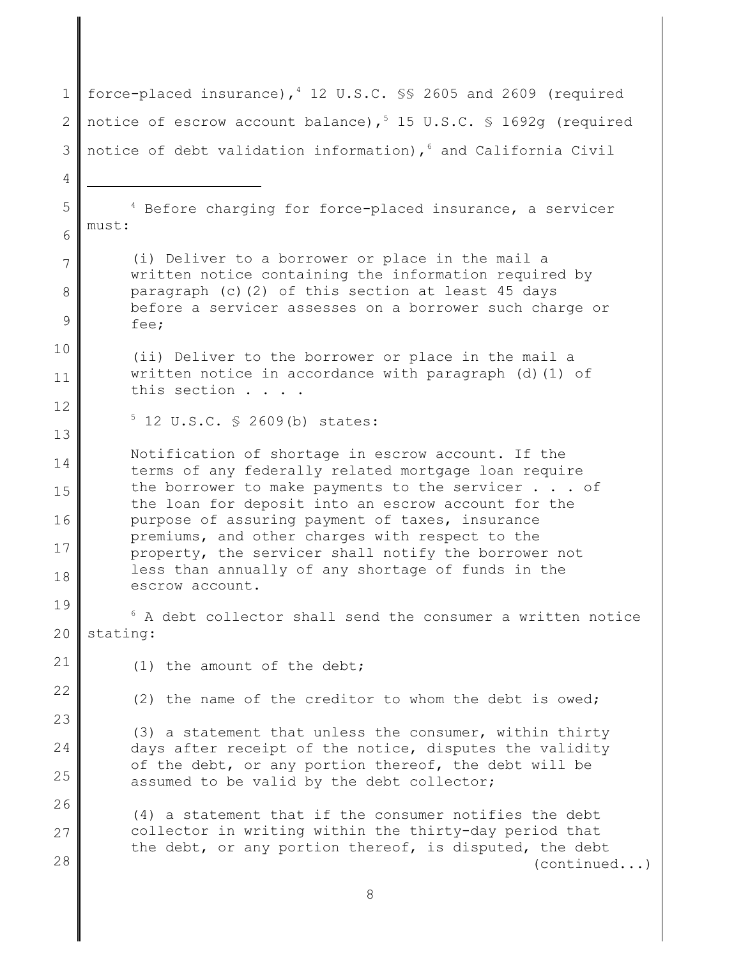1 2 3 4 5 6 7 8 9 10 11 12 13 14 15 16 17 18 19 20 21 22 23 24 25 26 27 28 force-placed insurance),  $4$  12 U.S.C.  $\S$  2605 and 2609 (required notice of escrow account balance),  $5$  15 U.S.C. § 1692q (required notice of debt validation information),<sup>6</sup> and California Civil <sup>4</sup> Before charging for force-placed insurance, a servicer must: (i) Deliver to a borrower or place in the mail a written notice containing the information required by paragraph (c)(2) of this section at least 45 days before a servicer assesses on a borrower such charge or fee; (ii) Deliver to the borrower or place in the mail a written notice in accordance with paragraph (d)(1) of this section . . . .  $5$  12 U.S.C. § 2609(b) states: Notification of shortage in escrow account. If the terms of any federally related mortgage loan require the borrower to make payments to the servicer . . . of the loan for deposit into an escrow account for the purpose of assuring payment of taxes, insurance premiums, and other charges with respect to the property, the servicer shall notify the borrower not less than annually of any shortage of funds in the escrow account.  $6$  A debt collector shall send the consumer a written notice stating: (1) the amount of the debt; (2) the name of the creditor to whom the debt is owed; (3) a statement that unless the consumer, within thirty days after receipt of the notice, disputes the validity of the debt, or any portion thereof, the debt will be assumed to be valid by the debt collector; (4) a statement that if the consumer notifies the debt collector in writing within the thirty-day period that the debt, or any portion thereof, is disputed, the debt (continued...)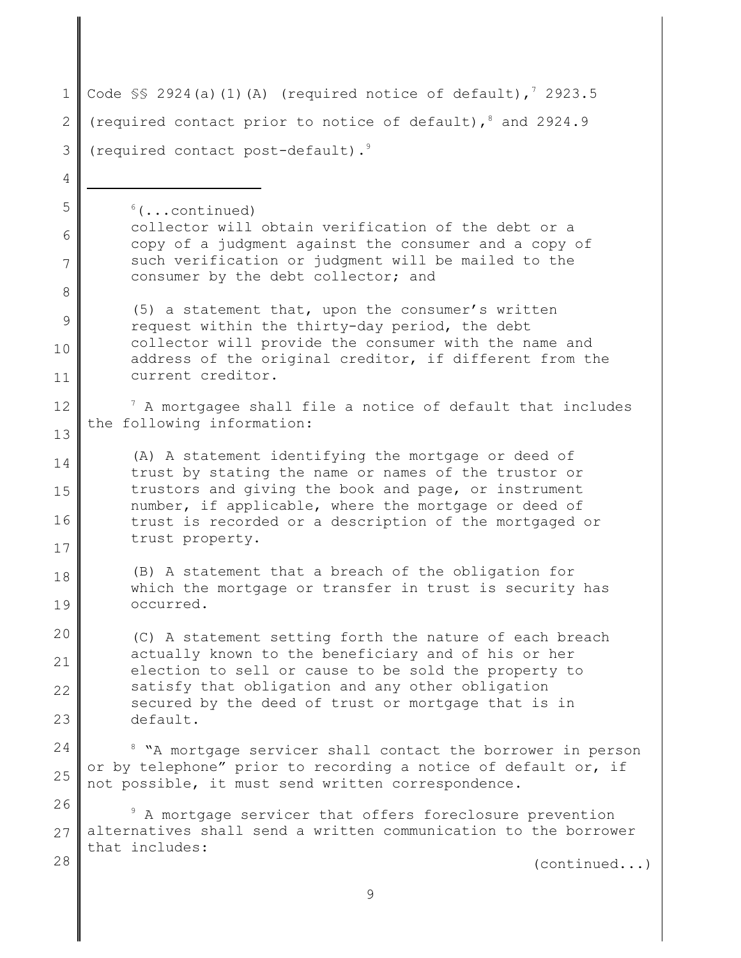| $\mathbf 1$    | Code $\$ 2924(a)(1)(A) (required notice of default), $\frac{7}{2}$ 2923.5                                                                                                                                                                    |  |  |  |  |
|----------------|----------------------------------------------------------------------------------------------------------------------------------------------------------------------------------------------------------------------------------------------|--|--|--|--|
| $\mathbf{2}$   | (required contact prior to notice of default), 8 and 2924.9                                                                                                                                                                                  |  |  |  |  |
| 3              | (required contact post-default). <sup>9</sup>                                                                                                                                                                                                |  |  |  |  |
| $\overline{4}$ |                                                                                                                                                                                                                                              |  |  |  |  |
| 5              | $6(\ldots \text{continued})$                                                                                                                                                                                                                 |  |  |  |  |
| 6              | collector will obtain verification of the debt or a<br>copy of a judgment against the consumer and a copy of                                                                                                                                 |  |  |  |  |
| 7              | such verification or judgment will be mailed to the<br>consumer by the debt collector; and                                                                                                                                                   |  |  |  |  |
| 8              |                                                                                                                                                                                                                                              |  |  |  |  |
| 9              | (5) a statement that, upon the consumer's written<br>request within the thirty-day period, the debt<br>collector will provide the consumer with the name and<br>address of the original creditor, if different from the<br>current creditor. |  |  |  |  |
| 10             |                                                                                                                                                                                                                                              |  |  |  |  |
| 11             |                                                                                                                                                                                                                                              |  |  |  |  |
| 12             | $7$ A mortgagee shall file a notice of default that includes<br>the following information:                                                                                                                                                   |  |  |  |  |
| 13             |                                                                                                                                                                                                                                              |  |  |  |  |
| 14             | (A) A statement identifying the mortgage or deed of<br>trust by stating the name or names of the trustor or<br>trustors and giving the book and page, or instrument<br>number, if applicable, where the mortgage or deed of                  |  |  |  |  |
| 15             |                                                                                                                                                                                                                                              |  |  |  |  |
| 16             | trust is recorded or a description of the mortgaged or                                                                                                                                                                                       |  |  |  |  |
| 17             | trust property.                                                                                                                                                                                                                              |  |  |  |  |
| 18             | (B) A statement that a breach of the obligation for<br>which the mortgage or transfer in trust is security has                                                                                                                               |  |  |  |  |
| 19             | occurred.                                                                                                                                                                                                                                    |  |  |  |  |
| 20             | (C) A statement setting forth the nature of each breach<br>actually known to the beneficiary and of his or her<br>election to sell or cause to be sold the property to                                                                       |  |  |  |  |
| 21             |                                                                                                                                                                                                                                              |  |  |  |  |
| 22             | satisfy that obligation and any other obligation<br>secured by the deed of trust or mortgage that is in                                                                                                                                      |  |  |  |  |
| 23             | default.                                                                                                                                                                                                                                     |  |  |  |  |
| 24             | <sup>8</sup> "A mortgage servicer shall contact the borrower in person                                                                                                                                                                       |  |  |  |  |
| 25             | or by telephone" prior to recording a notice of default or, if<br>not possible, it must send written correspondence.                                                                                                                         |  |  |  |  |
| 26             | A mortgage servicer that offers foreclosure prevention                                                                                                                                                                                       |  |  |  |  |
| 27             | alternatives shall send a written communication to the borrower<br>that includes:                                                                                                                                                            |  |  |  |  |
| 28             | (continued)                                                                                                                                                                                                                                  |  |  |  |  |
|                |                                                                                                                                                                                                                                              |  |  |  |  |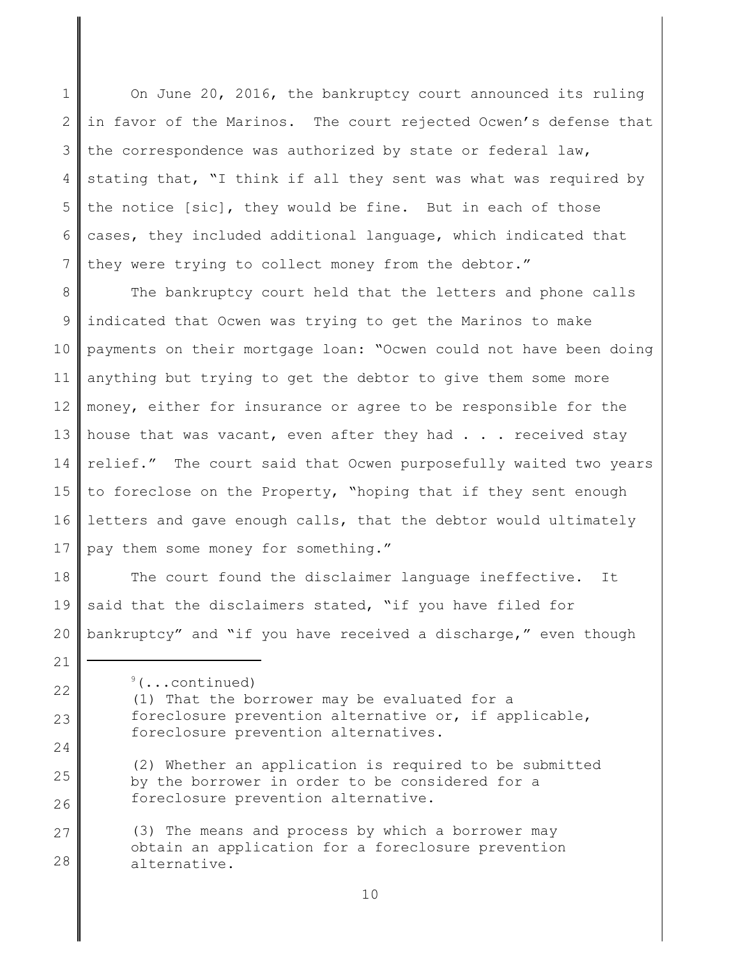1 2 3 4 5 6 7 On June 20, 2016, the bankruptcy court announced its ruling in favor of the Marinos. The court rejected Ocwen's defense that the correspondence was authorized by state or federal law, stating that, "I think if all they sent was what was required by the notice [sic], they would be fine. But in each of those cases, they included additional language, which indicated that they were trying to collect money from the debtor."

8 9 10 11 12 13 14 15 16 17 The bankruptcy court held that the letters and phone calls indicated that Ocwen was trying to get the Marinos to make payments on their mortgage loan: "Ocwen could not have been doing anything but trying to get the debtor to give them some more money, either for insurance or agree to be responsible for the house that was vacant, even after they had . . . received stay relief." The court said that Ocwen purposefully waited two years to foreclose on the Property, "hoping that if they sent enough letters and gave enough calls, that the debtor would ultimately pay them some money for something."

18 19 20 The court found the disclaimer language ineffective. It said that the disclaimers stated, "if you have filed for bankruptcy" and "if you have received a discharge," even though

 $\sqrt[9]{(... \cdot \text{continued})}$ (1) That the borrower may be evaluated for a foreclosure prevention alternative or, if applicable, foreclosure prevention alternatives.

(2) Whether an application is required to be submitted by the borrower in order to be considered for a foreclosure prevention alternative.

27 28 (3) The means and process by which a borrower may obtain an application for a foreclosure prevention alternative.

21

22

23

24

25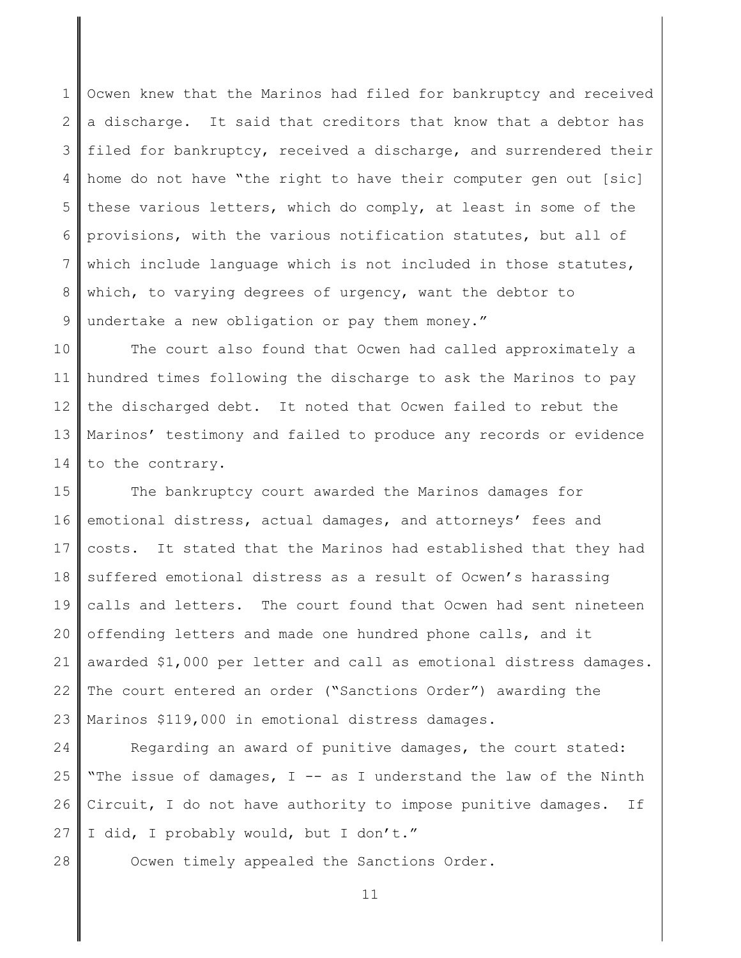1 2 3 4 5 6 7 8 9 Ocwen knew that the Marinos had filed for bankruptcy and received a discharge. It said that creditors that know that a debtor has filed for bankruptcy, received a discharge, and surrendered their home do not have "the right to have their computer gen out [sic] these various letters, which do comply, at least in some of the provisions, with the various notification statutes, but all of which include language which is not included in those statutes, which, to varying degrees of urgency, want the debtor to undertake a new obligation or pay them money."

10 11 12 13 14 The court also found that Ocwen had called approximately a hundred times following the discharge to ask the Marinos to pay the discharged debt. It noted that Ocwen failed to rebut the Marinos' testimony and failed to produce any records or evidence to the contrary.

15 16 17 18 19 20 21 22 23 The bankruptcy court awarded the Marinos damages for emotional distress, actual damages, and attorneys' fees and costs. It stated that the Marinos had established that they had suffered emotional distress as a result of Ocwen's harassing calls and letters. The court found that Ocwen had sent nineteen offending letters and made one hundred phone calls, and it awarded \$1,000 per letter and call as emotional distress damages. The court entered an order ("Sanctions Order") awarding the Marinos \$119,000 in emotional distress damages.

24 25 26 27 Regarding an award of punitive damages, the court stated: "The issue of damages,  $I$  -- as I understand the law of the Ninth Circuit, I do not have authority to impose punitive damages. If I did, I probably would, but I don't."

28

Ocwen timely appealed the Sanctions Order.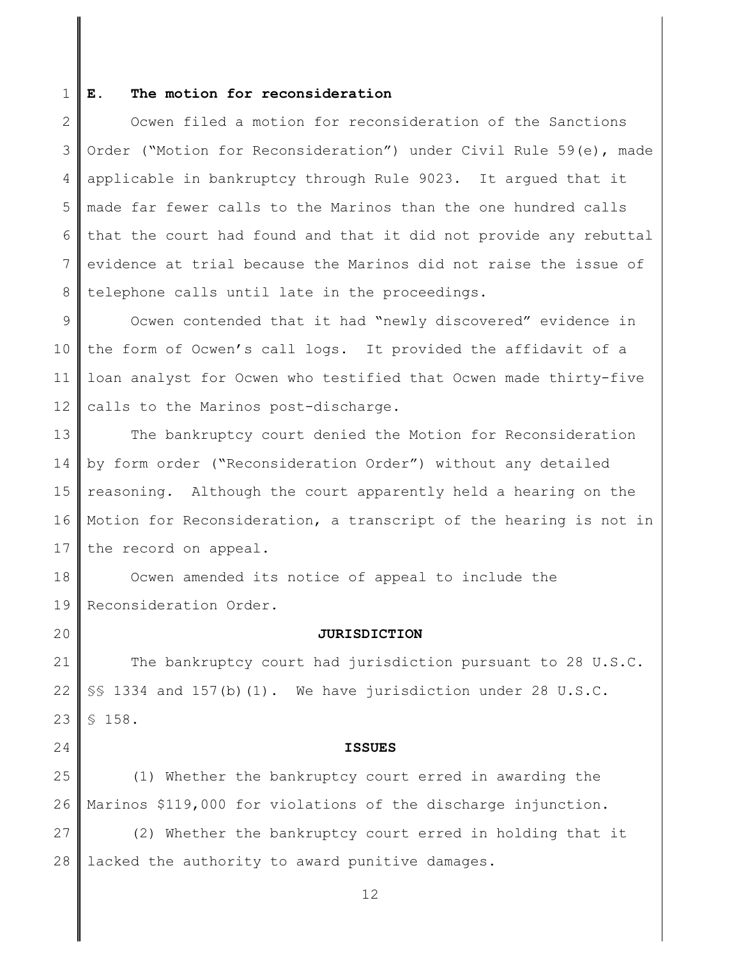#### 1 **E. The motion for reconsideration**

2 3 4 5 6 7 8 Ocwen filed a motion for reconsideration of the Sanctions Order ("Motion for Reconsideration") under Civil Rule 59(e), made applicable in bankruptcy through Rule 9023. It argued that it made far fewer calls to the Marinos than the one hundred calls that the court had found and that it did not provide any rebuttal evidence at trial because the Marinos did not raise the issue of telephone calls until late in the proceedings.

9 10 11 12 Ocwen contended that it had "newly discovered" evidence in the form of Ocwen's call logs. It provided the affidavit of a loan analyst for Ocwen who testified that Ocwen made thirty-five calls to the Marinos post-discharge.

13 14 15 16 17 The bankruptcy court denied the Motion for Reconsideration by form order ("Reconsideration Order") without any detailed reasoning. Although the court apparently held a hearing on the Motion for Reconsideration, a transcript of the hearing is not in the record on appeal.

18 19 Ocwen amended its notice of appeal to include the Reconsideration Order.

20

24

## **JURISDICTION**

21 22 23 The bankruptcy court had jurisdiction pursuant to 28 U.S.C. §§ 1334 and 157(b)(1). We have jurisdiction under 28 U.S.C. § 158.

## **ISSUES**

25 26 (1) Whether the bankruptcy court erred in awarding the Marinos \$119,000 for violations of the discharge injunction.

27 28 (2) Whether the bankruptcy court erred in holding that it lacked the authority to award punitive damages.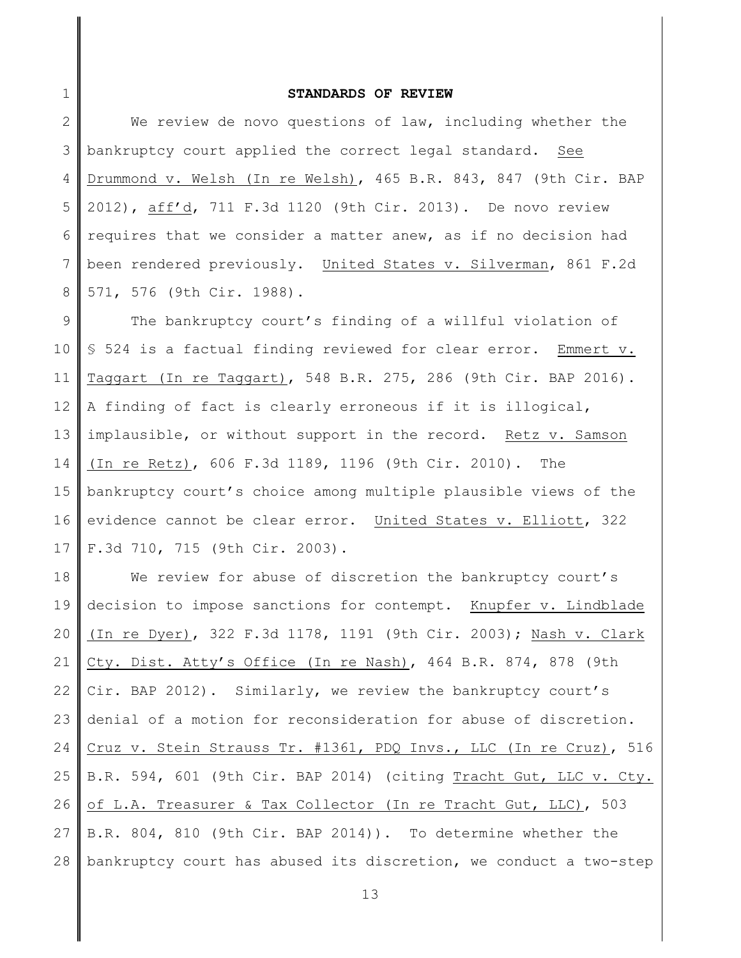# **STANDARDS OF REVIEW**

1

2 3 4 5 6 7 8 We review de novo questions of law, including whether the bankruptcy court applied the correct legal standard. See Drummond v. Welsh (In re Welsh), 465 B.R. 843, 847 (9th Cir. BAP 2012), aff'd, 711 F.3d 1120 (9th Cir. 2013). De novo review requires that we consider a matter anew, as if no decision had been rendered previously. United States v. Silverman, 861 F.2d 571, 576 (9th Cir. 1988).

9 10 11 12 13 14 15 16 17 The bankruptcy court's finding of a willful violation of § 524 is a factual finding reviewed for clear error. Emmert v. Taggart (In re Taggart), 548 B.R. 275, 286 (9th Cir. BAP 2016). A finding of fact is clearly erroneous if it is illogical, implausible, or without support in the record. Retz v. Samson (In re Retz), 606 F.3d 1189, 1196 (9th Cir. 2010). The bankruptcy court's choice among multiple plausible views of the evidence cannot be clear error. United States v. Elliott, 322 F.3d 710, 715 (9th Cir. 2003).

18 19 20 21 22 23 24 25 26 27 28 We review for abuse of discretion the bankruptcy court's decision to impose sanctions for contempt. Knupfer v. Lindblade (In re Dyer), 322 F.3d 1178, 1191 (9th Cir. 2003); Nash v. Clark Cty. Dist. Atty's Office (In re Nash), 464 B.R. 874, 878 (9th Cir. BAP 2012). Similarly, we review the bankruptcy court's denial of a motion for reconsideration for abuse of discretion. Cruz v. Stein Strauss Tr. #1361, PDQ Invs., LLC (In re Cruz), 516 B.R. 594, 601 (9th Cir. BAP 2014) (citing Tracht Gut, LLC v. Cty. of L.A. Treasurer & Tax Collector (In re Tracht Gut, LLC), 503 B.R. 804, 810 (9th Cir. BAP 2014)). To determine whether the bankruptcy court has abused its discretion, we conduct a two-step

```
13
```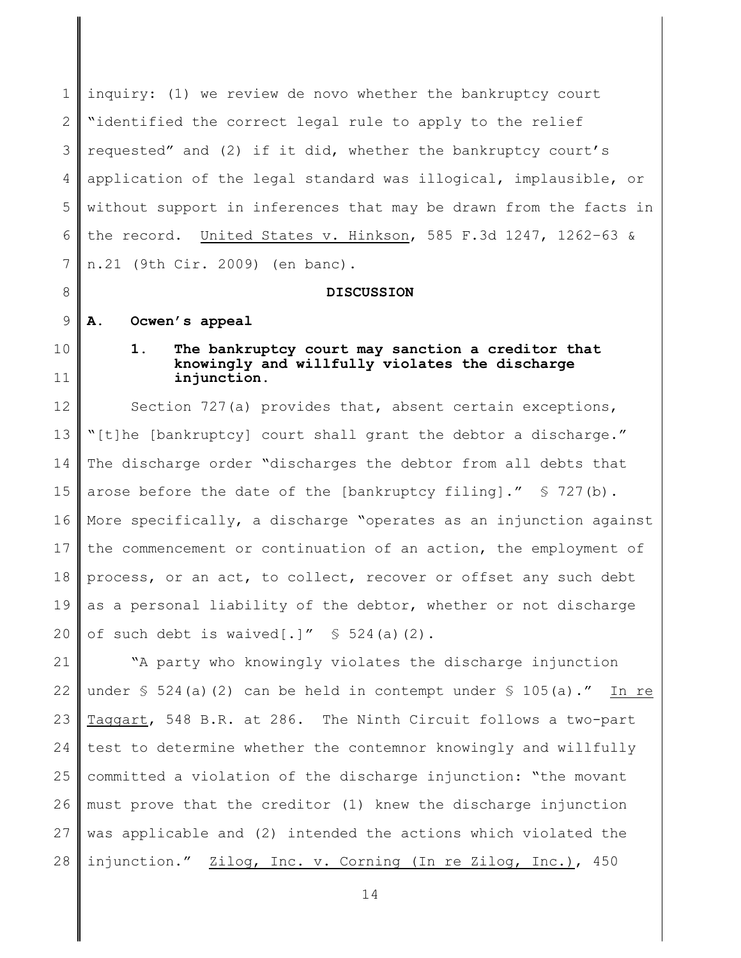1 2 3 4 5 6 7 inquiry: (1) we review de novo whether the bankruptcy court "identified the correct legal rule to apply to the relief requested" and (2) if it did, whether the bankruptcy court's application of the legal standard was illogical, implausible, or without support in inferences that may be drawn from the facts in the record. United States v. Hinkson, 585 F.3d 1247, 1262–63 & n.21 (9th Cir. 2009) (en banc).

## **DISCUSSION**

#### 9 **A. Ocwen's appeal**

10

11

8

# **1. The bankruptcy court may sanction a creditor that knowingly and willfully violates the discharge injunction.**

12 13 14 15 16 17 18 19 20 Section 727(a) provides that, absent certain exceptions, "[t]he [bankruptcy] court shall grant the debtor a discharge." The discharge order "discharges the debtor from all debts that arose before the date of the [bankruptcy filing]." § 727(b). More specifically, a discharge "operates as an injunction against the commencement or continuation of an action, the employment of process, or an act, to collect, recover or offset any such debt as a personal liability of the debtor, whether or not discharge of such debt is waived[.]"  $\frac{1}{2}$  524(a)(2).

21 22 23 24 25 26 27 28 "A party who knowingly violates the discharge injunction under  $\frac{1}{2}$  524(a)(2) can be held in contempt under  $\frac{1}{2}$  105(a)." In re Taggart, 548 B.R. at 286. The Ninth Circuit follows a two-part test to determine whether the contemnor knowingly and willfully committed a violation of the discharge injunction: "the movant must prove that the creditor (1) knew the discharge injunction was applicable and (2) intended the actions which violated the injunction." Zilog, Inc. v. Corning (In re Zilog, Inc.), 450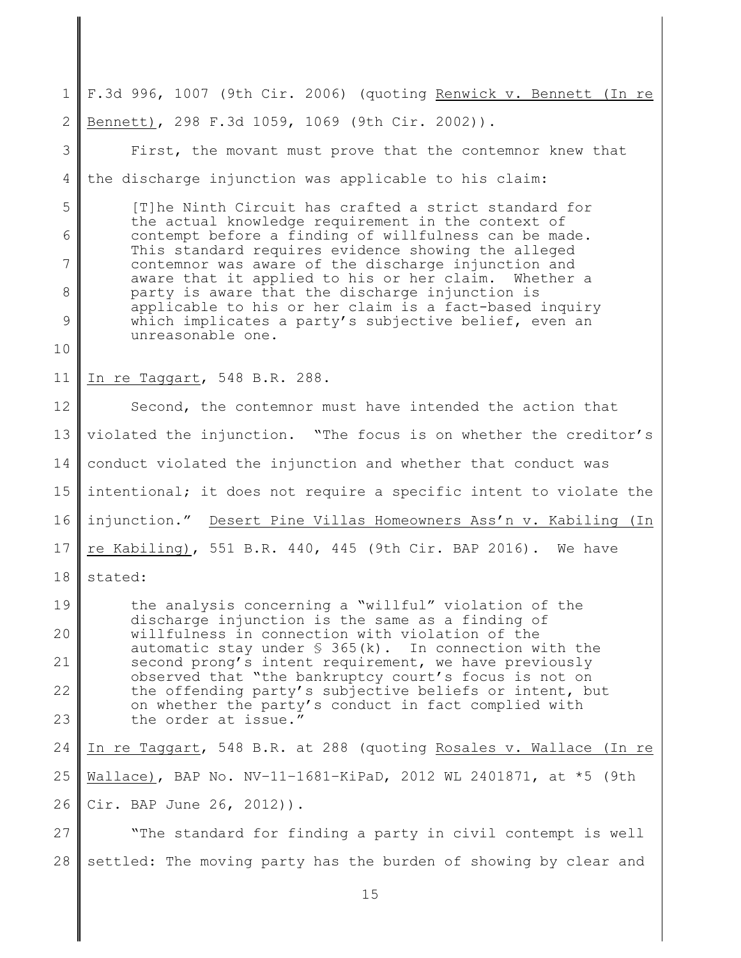1 2 F.3d 996, 1007 (9th Cir. 2006) (quoting Renwick v. Bennett (In re Bennett), 298 F.3d 1059, 1069 (9th Cir. 2002)).

3 4 5 6 7 8 9 10 11 12 13 14 15 16 17 18 19 20 21 22 23 First, the movant must prove that the contemnor knew that the discharge injunction was applicable to his claim: [T]he Ninth Circuit has crafted a strict standard for the actual knowledge requirement in the context of contempt before a finding of willfulness can be made. This standard requires evidence showing the alleged contemnor was aware of the discharge injunction and aware that it applied to his or her claim. Whether a party is aware that the discharge injunction is applicable to his or her claim is a fact-based inquiry which implicates a party's subjective belief, even an unreasonable one. In re Taggart, 548 B.R. 288. Second, the contemnor must have intended the action that violated the injunction. "The focus is on whether the creditor's conduct violated the injunction and whether that conduct was intentional; it does not require a specific intent to violate the injunction." Desert Pine Villas Homeowners Ass'n v. Kabiling (In re Kabiling), 551 B.R. 440, 445 (9th Cir. BAP 2016). We have stated: the analysis concerning a "willful" violation of the discharge injunction is the same as a finding of willfulness in connection with violation of the automatic stay under  $\frac{1}{5}$  365(k). In connection with the second prong's intent requirement, we have previously observed that "the bankruptcy court's focus is not on the offending party's subjective beliefs or intent, but on whether the party's conduct in fact complied with the order at issue."

24 25 26 In re Taggart, 548 B.R. at 288 (quoting Rosales v. Wallace (In re Wallace), BAP No. NV–11–1681–KiPaD, 2012 WL 2401871, at \*5 (9th Cir. BAP June 26, 2012)).

27 28 "The standard for finding a party in civil contempt is well settled: The moving party has the burden of showing by clear and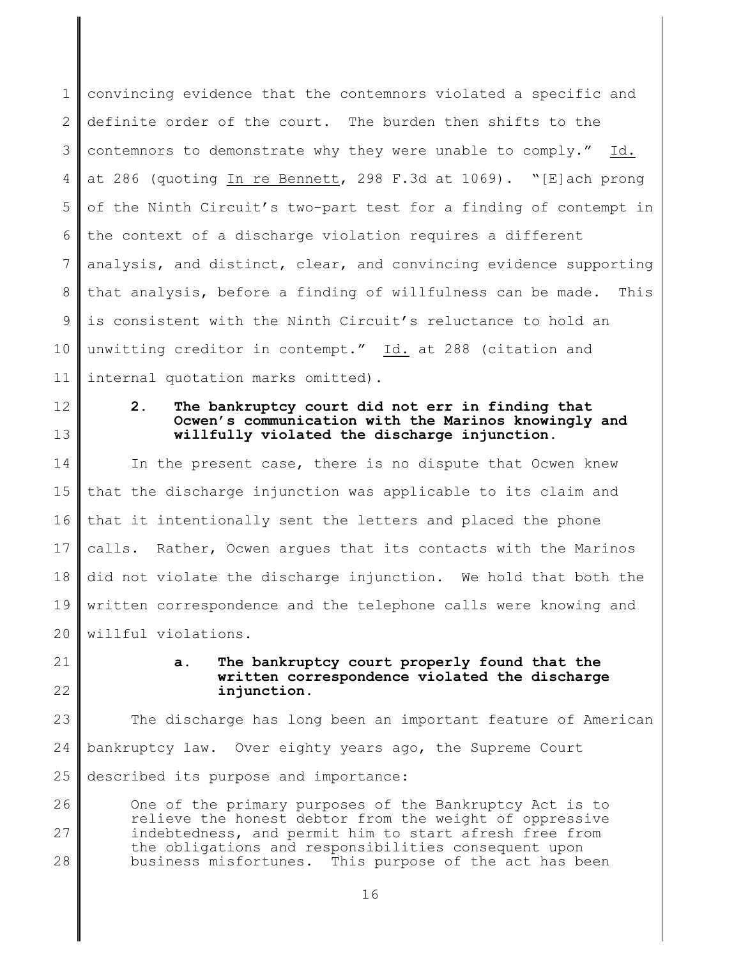1 2 3 4 5 6 7 8 9 10 11 convincing evidence that the contemnors violated a specific and definite order of the court. The burden then shifts to the contemnors to demonstrate why they were unable to comply." Id. at 286 (quoting In re Bennett, 298 F.3d at 1069). "[E]ach prong of the Ninth Circuit's two-part test for a finding of contempt in the context of a discharge violation requires a different analysis, and distinct, clear, and convincing evidence supporting that analysis, before a finding of willfulness can be made. This is consistent with the Ninth Circuit's reluctance to hold an unwitting creditor in contempt." Id. at 288 (citation and internal quotation marks omitted).

12 13

# **2. The bankruptcy court did not err in finding that Ocwen's communication with the Marinos knowingly and willfully violated the discharge injunction.**

14 15 16 17 18 19 20 In the present case, there is no dispute that Ocwen knew that the discharge injunction was applicable to its claim and that it intentionally sent the letters and placed the phone calls. Rather, Ocwen argues that its contacts with the Marinos did not violate the discharge injunction. We hold that both the written correspondence and the telephone calls were knowing and willful violations.

21

# 22

# **a. The bankruptcy court properly found that the written correspondence violated the discharge injunction**.

23 24 25 The discharge has long been an important feature of American bankruptcy law. Over eighty years ago, the Supreme Court described its purpose and importance:

26 27 28 One of the primary purposes of the Bankruptcy Act is to relieve the honest debtor from the weight of oppressive indebtedness, and permit him to start afresh free from the obligations and responsibilities consequent upon business misfortunes. This purpose of the act has been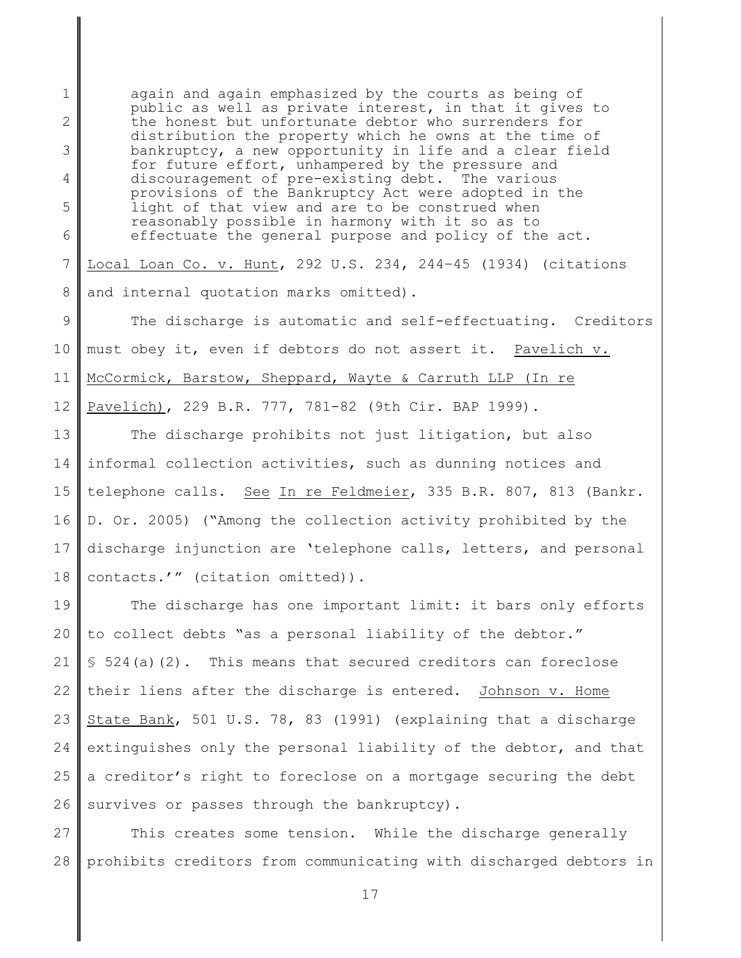1 2 3 4 5 6 again and again emphasized by the courts as being of public as well as private interest, in that it gives to the honest but unfortunate debtor who surrenders for distribution the property which he owns at the time of bankruptcy, a new opportunity in life and a clear field for future effort, unhampered by the pressure and discouragement of pre-existing debt. The various provisions of the Bankruptcy Act were adopted in the light of that view and are to be construed when reasonably possible in harmony with it so as to effectuate the general purpose and policy of the act.

7 8 Local Loan Co. v. Hunt, 292 U.S. 234, 244–45 (1934) (citations and internal quotation marks omitted).

9 10 11 12 The discharge is automatic and self-effectuating. Creditors must obey it, even if debtors do not assert it. Pavelich v. McCormick, Barstow, Sheppard, Wayte & Carruth LLP (In re Pavelich), 229 B.R. 777, 781-82 (9th Cir. BAP 1999).

13 14 15 16 17 18 The discharge prohibits not just litigation, but also informal collection activities, such as dunning notices and telephone calls. See In re Feldmeier, 335 B.R. 807, 813 (Bankr. D. Or. 2005) ("Among the collection activity prohibited by the discharge injunction are 'telephone calls, letters, and personal contacts.'" (citation omitted)).

19 20 21 22 23 24 25 26 The discharge has one important limit: it bars only efforts to collect debts "as a personal liability of the debtor."  $$524(a)(2)$ . This means that secured creditors can foreclose their liens after the discharge is entered. Johnson v. Home State Bank, 501 U.S. 78, 83 (1991) (explaining that a discharge extinguishes only the personal liability of the debtor, and that a creditor's right to foreclose on a mortgage securing the debt survives or passes through the bankruptcy).

27 28 This creates some tension. While the discharge generally prohibits creditors from communicating with discharged debtors in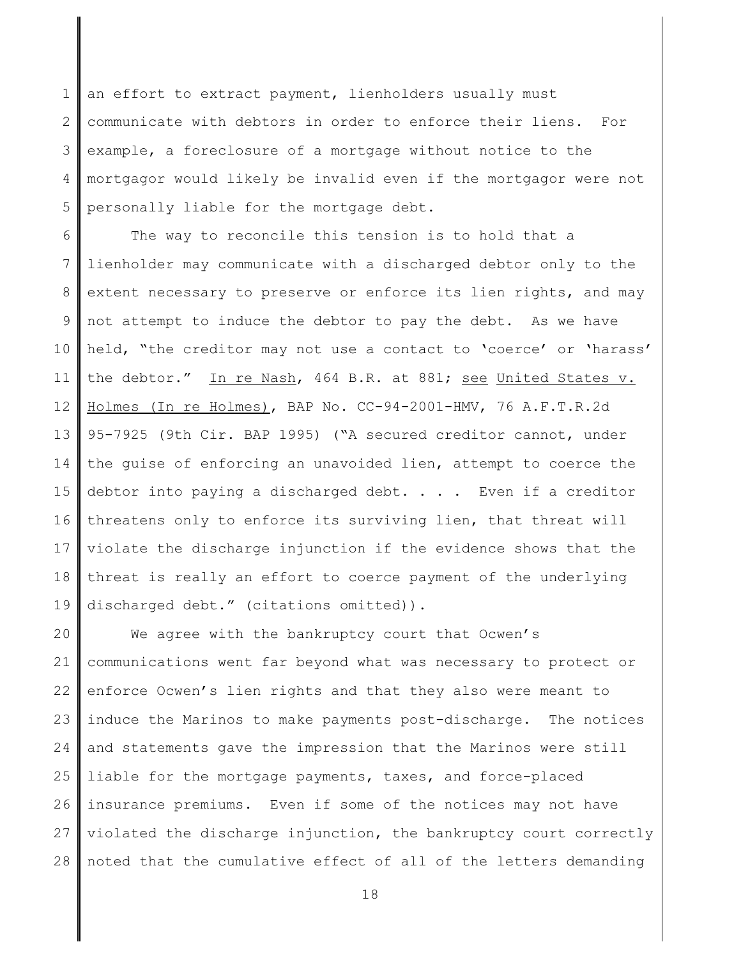1 2 3 4 5 an effort to extract payment, lienholders usually must communicate with debtors in order to enforce their liens. For example, a foreclosure of a mortgage without notice to the mortgagor would likely be invalid even if the mortgagor were not personally liable for the mortgage debt.

6 7 8 9 10 11 12 13 14 15 16 17 18 19 The way to reconcile this tension is to hold that a lienholder may communicate with a discharged debtor only to the extent necessary to preserve or enforce its lien rights, and may not attempt to induce the debtor to pay the debt. As we have held, "the creditor may not use a contact to 'coerce' or 'harass' the debtor." In re Nash, 464 B.R. at 881; see United States v. Holmes (In re Holmes), BAP No. CC-94-2001-HMV, 76 A.F.T.R.2d 95-7925 (9th Cir. BAP 1995) ("A secured creditor cannot, under the guise of enforcing an unavoided lien, attempt to coerce the debtor into paying a discharged debt. . . . Even if a creditor threatens only to enforce its surviving lien, that threat will violate the discharge injunction if the evidence shows that the threat is really an effort to coerce payment of the underlying discharged debt." (citations omitted)).

20 21 22 23 24 25 26 27 28 We agree with the bankruptcy court that Ocwen's communications went far beyond what was necessary to protect or enforce Ocwen's lien rights and that they also were meant to induce the Marinos to make payments post-discharge. The notices and statements gave the impression that the Marinos were still liable for the mortgage payments, taxes, and force-placed insurance premiums. Even if some of the notices may not have violated the discharge injunction, the bankruptcy court correctly noted that the cumulative effect of all of the letters demanding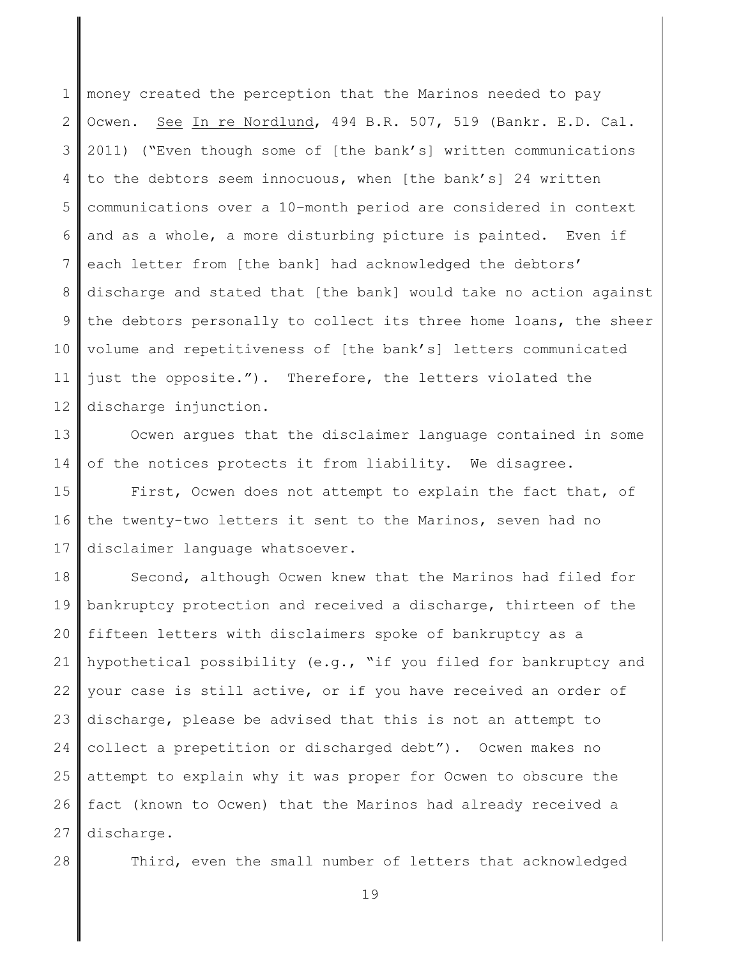1 2 3 4 5 6 7 8 9 10 11 12 money created the perception that the Marinos needed to pay Ocwen. See In re Nordlund, 494 B.R. 507, 519 (Bankr. E.D. Cal. 2011) ("Even though some of [the bank's] written communications to the debtors seem innocuous, when [the bank's] 24 written communications over a 10–month period are considered in context and as a whole, a more disturbing picture is painted. Even if each letter from [the bank] had acknowledged the debtors' discharge and stated that [the bank] would take no action against the debtors personally to collect its three home loans, the sheer volume and repetitiveness of [the bank's] letters communicated just the opposite."). Therefore, the letters violated the discharge injunction.

13 14 Ocwen argues that the disclaimer language contained in some of the notices protects it from liability. We disagree.

15 16 17 First, Ocwen does not attempt to explain the fact that, of the twenty-two letters it sent to the Marinos, seven had no disclaimer language whatsoever.

18 19 20 21 22 23 24 25 26 27 Second, although Ocwen knew that the Marinos had filed for bankruptcy protection and received a discharge, thirteen of the fifteen letters with disclaimers spoke of bankruptcy as a hypothetical possibility (e.g., "if you filed for bankruptcy and your case is still active, or if you have received an order of discharge, please be advised that this is not an attempt to collect a prepetition or discharged debt"). Ocwen makes no attempt to explain why it was proper for Ocwen to obscure the fact (known to Ocwen) that the Marinos had already received a discharge.

28

Third, even the small number of letters that acknowledged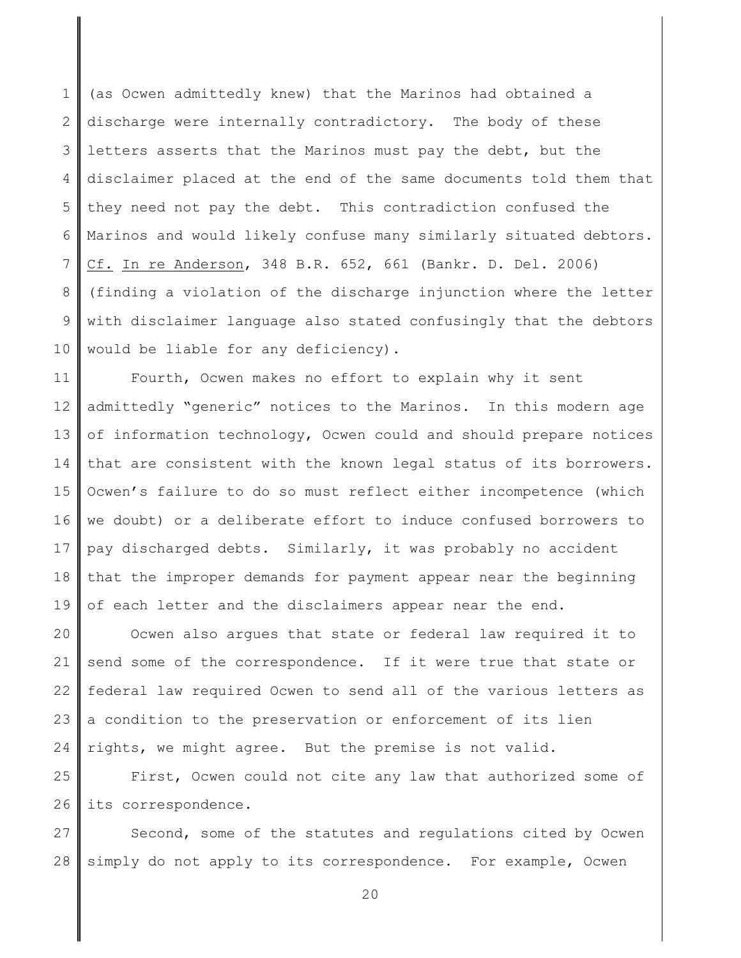1 2 3 4 5 6 7 8 9 10 (as Ocwen admittedly knew) that the Marinos had obtained a discharge were internally contradictory. The body of these letters asserts that the Marinos must pay the debt, but the disclaimer placed at the end of the same documents told them that they need not pay the debt. This contradiction confused the Marinos and would likely confuse many similarly situated debtors. Cf. In re Anderson, 348 B.R. 652, 661 (Bankr. D. Del. 2006) (finding a violation of the discharge injunction where the letter with disclaimer language also stated confusingly that the debtors would be liable for any deficiency).

11 12 13 14 15 16 17 18 19 Fourth, Ocwen makes no effort to explain why it sent admittedly "generic" notices to the Marinos. In this modern age of information technology, Ocwen could and should prepare notices that are consistent with the known legal status of its borrowers. Ocwen's failure to do so must reflect either incompetence (which we doubt) or a deliberate effort to induce confused borrowers to pay discharged debts. Similarly, it was probably no accident that the improper demands for payment appear near the beginning of each letter and the disclaimers appear near the end.

20 21 22 23 24 Ocwen also argues that state or federal law required it to send some of the correspondence. If it were true that state or federal law required Ocwen to send all of the various letters as a condition to the preservation or enforcement of its lien rights, we might agree. But the premise is not valid.

25 26 First, Ocwen could not cite any law that authorized some of its correspondence.

27 28 Second, some of the statutes and regulations cited by Ocwen simply do not apply to its correspondence. For example, Ocwen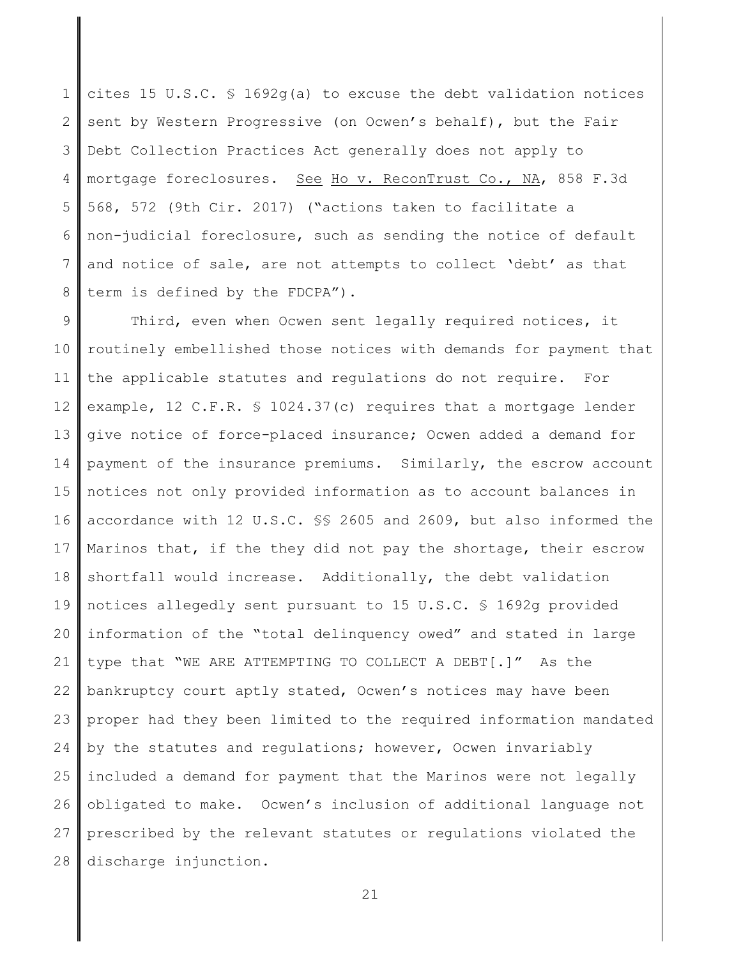1 2 3 4 5 6 7 8 cites 15 U.S.C. § 1692g(a) to excuse the debt validation notices sent by Western Progressive (on Ocwen's behalf), but the Fair Debt Collection Practices Act generally does not apply to mortgage foreclosures. See Ho v. ReconTrust Co., NA, 858 F.3d 568, 572 (9th Cir. 2017) ("actions taken to facilitate a non-judicial foreclosure, such as sending the notice of default and notice of sale, are not attempts to collect 'debt' as that term is defined by the FDCPA").

9 10 11 12 13 14 15 16 17 18 19 20 21 22 23 24 25 26 27 28 Third, even when Ocwen sent legally required notices, it routinely embellished those notices with demands for payment that the applicable statutes and regulations do not require. For example, 12 C.F.R. § 1024.37(c) requires that a mortgage lender give notice of force-placed insurance; Ocwen added a demand for payment of the insurance premiums. Similarly, the escrow account notices not only provided information as to account balances in accordance with 12 U.S.C. §§ 2605 and 2609, but also informed the Marinos that, if the they did not pay the shortage, their escrow shortfall would increase. Additionally, the debt validation notices allegedly sent pursuant to 15 U.S.C. § 1692g provided information of the "total delinquency owed" and stated in large type that "WE ARE ATTEMPTING TO COLLECT A DEBT[.]" As the bankruptcy court aptly stated, Ocwen's notices may have been proper had they been limited to the required information mandated by the statutes and regulations; however, Ocwen invariably included a demand for payment that the Marinos were not legally obligated to make. Ocwen's inclusion of additional language not prescribed by the relevant statutes or regulations violated the discharge injunction.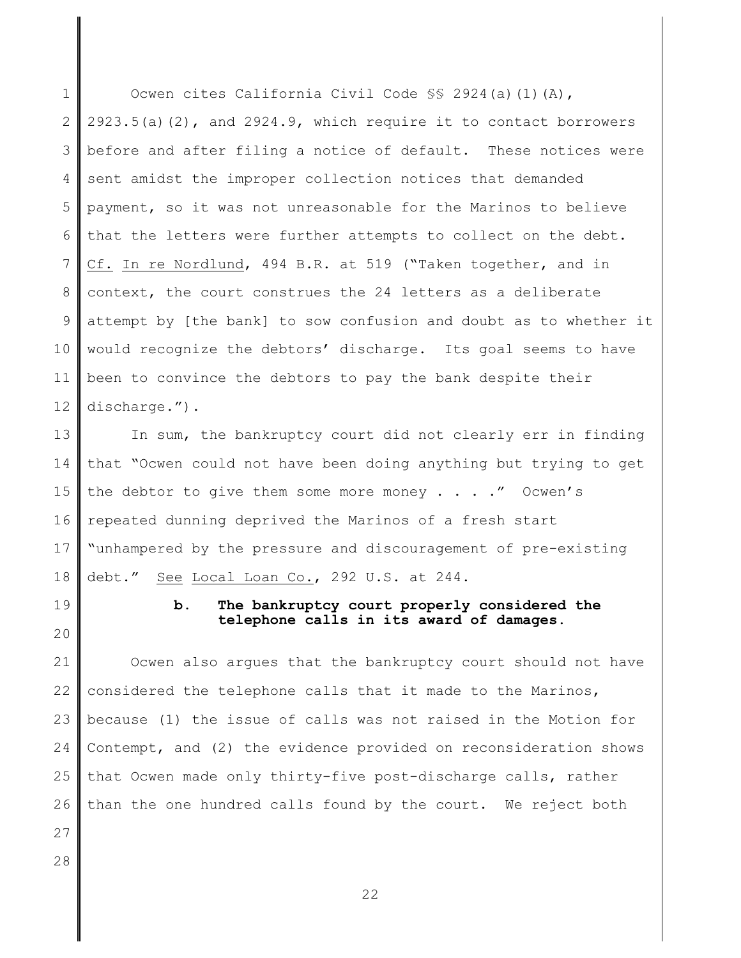1 2 3 4 5 6 7 8 9 10 11 12 Ocwen cites California Civil Code §§ 2924(a)(1)(A),  $2923.5(a)(2)$ , and  $2924.9$ , which require it to contact borrowers before and after filing a notice of default. These notices were sent amidst the improper collection notices that demanded payment, so it was not unreasonable for the Marinos to believe that the letters were further attempts to collect on the debt. Cf. In re Nordlund, 494 B.R. at 519 ("Taken together, and in context, the court construes the 24 letters as a deliberate attempt by [the bank] to sow confusion and doubt as to whether it would recognize the debtors' discharge. Its goal seems to have been to convince the debtors to pay the bank despite their discharge.").

13 14 15 16 17 18 In sum, the bankruptcy court did not clearly err in finding that "Ocwen could not have been doing anything but trying to get the debtor to give them some more money  $\ldots$  . . . " Ocwen's repeated dunning deprived the Marinos of a fresh start "unhampered by the pressure and discouragement of pre-existing debt." See Local Loan Co., 292 U.S. at 244.

19

20

# **b. The bankruptcy court properly considered the telephone calls in its award of damages.**

21 22 23 24 25 26 27 Ocwen also argues that the bankruptcy court should not have considered the telephone calls that it made to the Marinos, because (1) the issue of calls was not raised in the Motion for Contempt, and (2) the evidence provided on reconsideration shows that Ocwen made only thirty-five post-discharge calls, rather than the one hundred calls found by the court. We reject both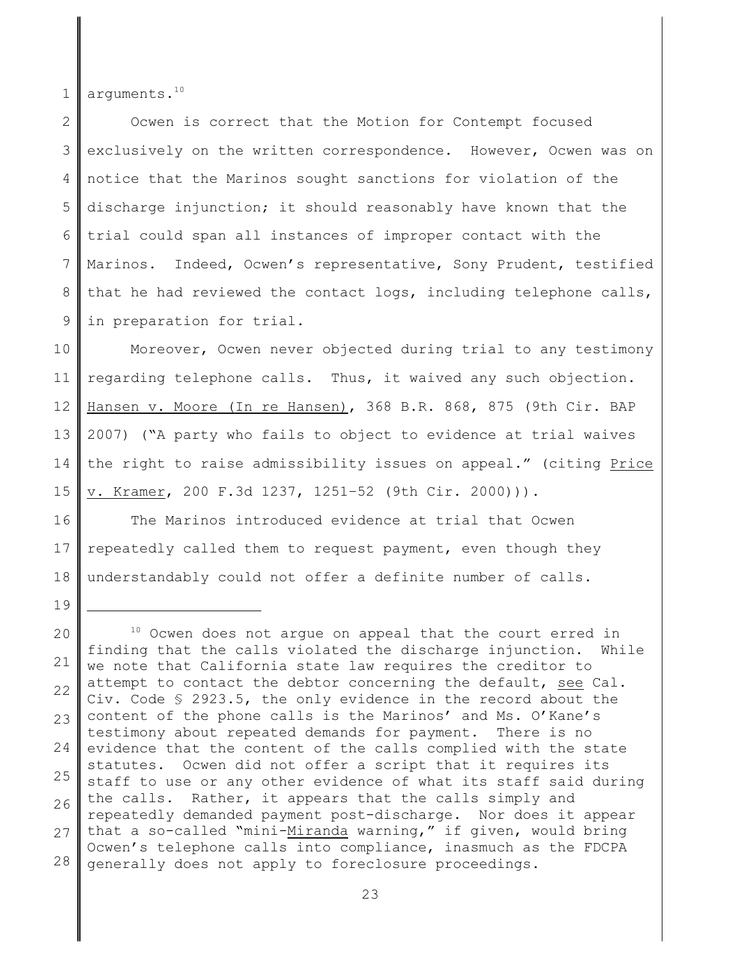1 arguments.<sup>10</sup>

19

2 3 4 5 6 7 8 9 Ocwen is correct that the Motion for Contempt focused exclusively on the written correspondence. However, Ocwen was on notice that the Marinos sought sanctions for violation of the discharge injunction; it should reasonably have known that the trial could span all instances of improper contact with the Marinos. Indeed, Ocwen's representative, Sony Prudent, testified that he had reviewed the contact logs, including telephone calls, in preparation for trial.

10 11 12 13 14 15 Moreover, Ocwen never objected during trial to any testimony regarding telephone calls. Thus, it waived any such objection. Hansen v. Moore (In re Hansen), 368 B.R. 868, 875 (9th Cir. BAP 2007) ("A party who fails to object to evidence at trial waives the right to raise admissibility issues on appeal." (citing Price v. Kramer, 200 F.3d 1237, 1251–52 (9th Cir. 2000))).

16 17 18 The Marinos introduced evidence at trial that Ocwen repeatedly called them to request payment, even though they understandably could not offer a definite number of calls.

<sup>20</sup> 21 22 23 24 25 26 27 28 <sup>10</sup> Ocwen does not arque on appeal that the court erred in finding that the calls violated the discharge injunction. While we note that California state law requires the creditor to attempt to contact the debtor concerning the default, see Cal. Civ. Code § 2923.5, the only evidence in the record about the content of the phone calls is the Marinos' and Ms. O'Kane's testimony about repeated demands for payment. There is no evidence that the content of the calls complied with the state statutes. Ocwen did not offer a script that it requires its staff to use or any other evidence of what its staff said during the calls. Rather, it appears that the calls simply and repeatedly demanded payment post-discharge. Nor does it appear that a so-called "mini-Miranda warning," if given, would bring Ocwen's telephone calls into compliance, inasmuch as the FDCPA generally does not apply to foreclosure proceedings.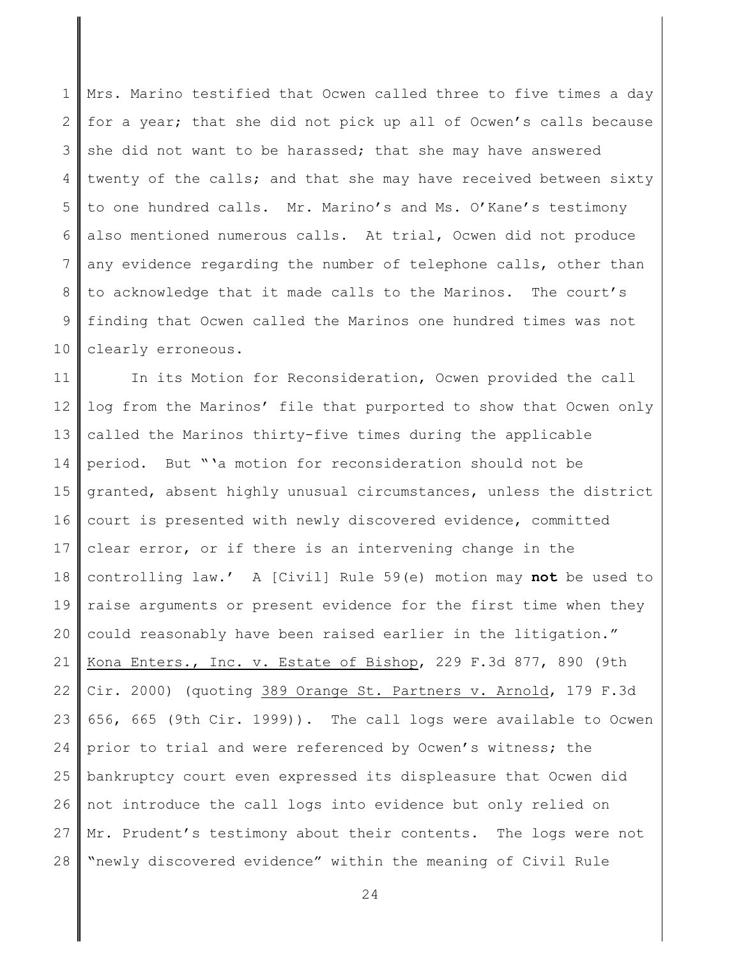1 2 3 4 5 6 7 8 9 10 Mrs. Marino testified that Ocwen called three to five times a day for a year; that she did not pick up all of Ocwen's calls because she did not want to be harassed; that she may have answered twenty of the calls; and that she may have received between sixty to one hundred calls. Mr. Marino's and Ms. O'Kane's testimony also mentioned numerous calls. At trial, Ocwen did not produce any evidence regarding the number of telephone calls, other than to acknowledge that it made calls to the Marinos. The court's finding that Ocwen called the Marinos one hundred times was not clearly erroneous.

11 12 13 14 15 16 17 18 19 20 21 22 23 24 25 26 27 28 In its Motion for Reconsideration, Ocwen provided the call log from the Marinos' file that purported to show that Ocwen only called the Marinos thirty-five times during the applicable period. But "'a motion for reconsideration should not be granted, absent highly unusual circumstances, unless the district court is presented with newly discovered evidence, committed clear error, or if there is an intervening change in the controlling law.' A [Civil] Rule 59(e) motion may **not** be used to raise arguments or present evidence for the first time when they could reasonably have been raised earlier in the litigation." Kona Enters., Inc. v. Estate of Bishop, 229 F.3d 877, 890 (9th Cir. 2000) (quoting 389 Orange St. Partners v. Arnold, 179 F.3d 656, 665 (9th Cir. 1999)). The call logs were available to Ocwen prior to trial and were referenced by Ocwen's witness; the bankruptcy court even expressed its displeasure that Ocwen did not introduce the call logs into evidence but only relied on Mr. Prudent's testimony about their contents. The logs were not "newly discovered evidence" within the meaning of Civil Rule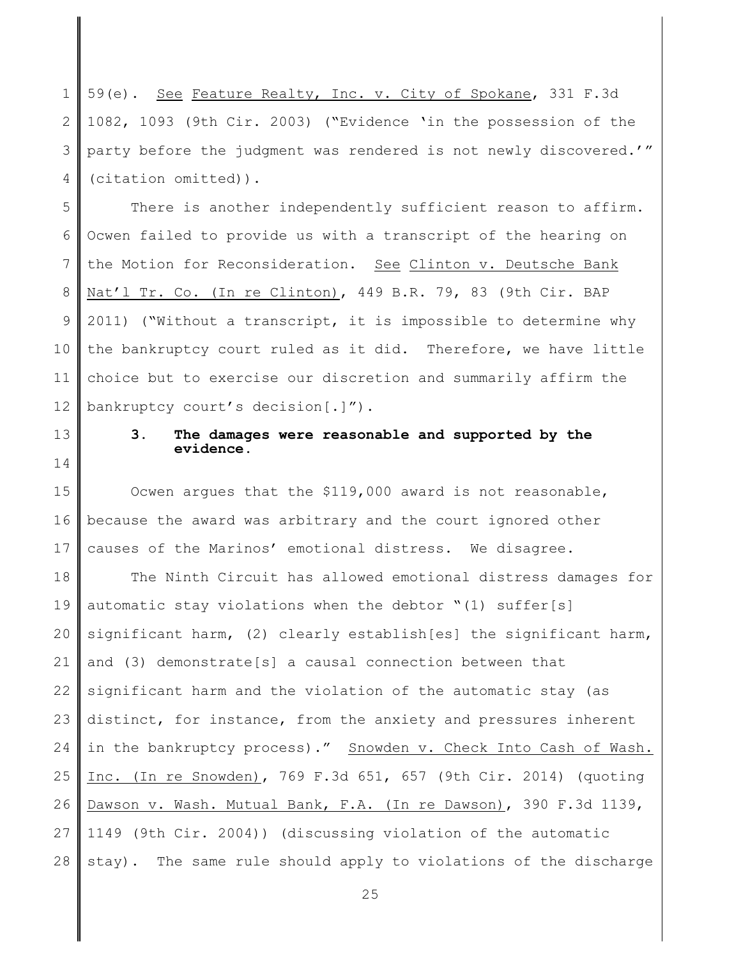1 2 3 4 59(e). See Feature Realty, Inc. v. City of Spokane, 331 F.3d 1082, 1093 (9th Cir. 2003) ("Evidence 'in the possession of the party before the judgment was rendered is not newly discovered.'" (citation omitted)).

5 6 7 8 9 10 11 12 There is another independently sufficient reason to affirm. Ocwen failed to provide us with a transcript of the hearing on the Motion for Reconsideration. See Clinton v. Deutsche Bank Nat'l Tr. Co. (In re Clinton), 449 B.R. 79, 83 (9th Cir. BAP 2011) ("Without a transcript, it is impossible to determine why the bankruptcy court ruled as it did. Therefore, we have little choice but to exercise our discretion and summarily affirm the bankruptcy court's decision[.]").

13 14

# **3. The damages were reasonable and supported by the evidence.**

15 16 17 Ocwen argues that the \$119,000 award is not reasonable, because the award was arbitrary and the court ignored other causes of the Marinos' emotional distress. We disagree.

18 19 20 21 22 23 24 25 26 27 28 The Ninth Circuit has allowed emotional distress damages for automatic stay violations when the debtor "(1) suffer[s] significant harm, (2) clearly establish [es] the significant harm, and (3) demonstrate[s] a causal connection between that significant harm and the violation of the automatic stay (as distinct, for instance, from the anxiety and pressures inherent in the bankruptcy process)." Snowden v. Check Into Cash of Wash. Inc. (In re Snowden), 769 F.3d 651, 657 (9th Cir. 2014) (quoting Dawson v. Wash. Mutual Bank, F.A. (In re Dawson), 390 F.3d 1139, 1149 (9th Cir. 2004)) (discussing violation of the automatic stay). The same rule should apply to violations of the discharge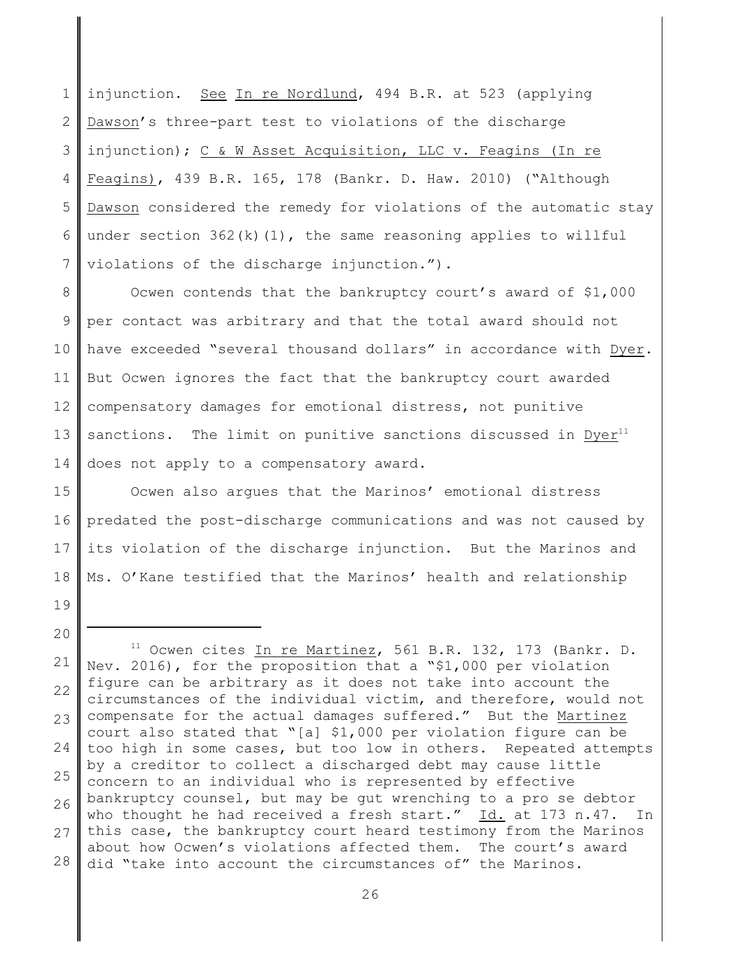1 2 3 4 5 6 7 injunction. See In re Nordlund, 494 B.R. at 523 (applying Dawson's three-part test to violations of the discharge injunction); C & W Asset Acquisition, LLC v. Feagins (In re Feagins), 439 B.R. 165, 178 (Bankr. D. Haw. 2010) ("Although Dawson considered the remedy for violations of the automatic stay under section  $362(k)(1)$ , the same reasoning applies to willful violations of the discharge injunction.").

8 9 10 11 12 13 14 Ocwen contends that the bankruptcy court's award of \$1,000 per contact was arbitrary and that the total award should not have exceeded "several thousand dollars" in accordance with Dyer. But Ocwen ignores the fact that the bankruptcy court awarded compensatory damages for emotional distress, not punitive sanctions. The limit on punitive sanctions discussed in  $Dyer<sup>11</sup>$ does not apply to a compensatory award.

15 16 17 18 Ocwen also argues that the Marinos' emotional distress predated the post-discharge communications and was not caused by its violation of the discharge injunction. But the Marinos and Ms. O'Kane testified that the Marinos' health and relationship

- 19
- 20

<sup>21</sup> 22 23 24 25 26 27 28  $11$  Ocwen cites In re Martinez, 561 B.R. 132, 173 (Bankr. D. Nev. 2016), for the proposition that a "\$1,000 per violation figure can be arbitrary as it does not take into account the circumstances of the individual victim, and therefore, would not compensate for the actual damages suffered." But the Martinez court also stated that "[a] \$1,000 per violation figure can be too high in some cases, but too low in others. Repeated attempts by a creditor to collect a discharged debt may cause little concern to an individual who is represented by effective bankruptcy counsel, but may be gut wrenching to a pro se debtor who thought he had received a fresh start." Id. at 173 n.47. In this case, the bankruptcy court heard testimony from the Marinos about how Ocwen's violations affected them. The court's award did "take into account the circumstances of" the Marinos.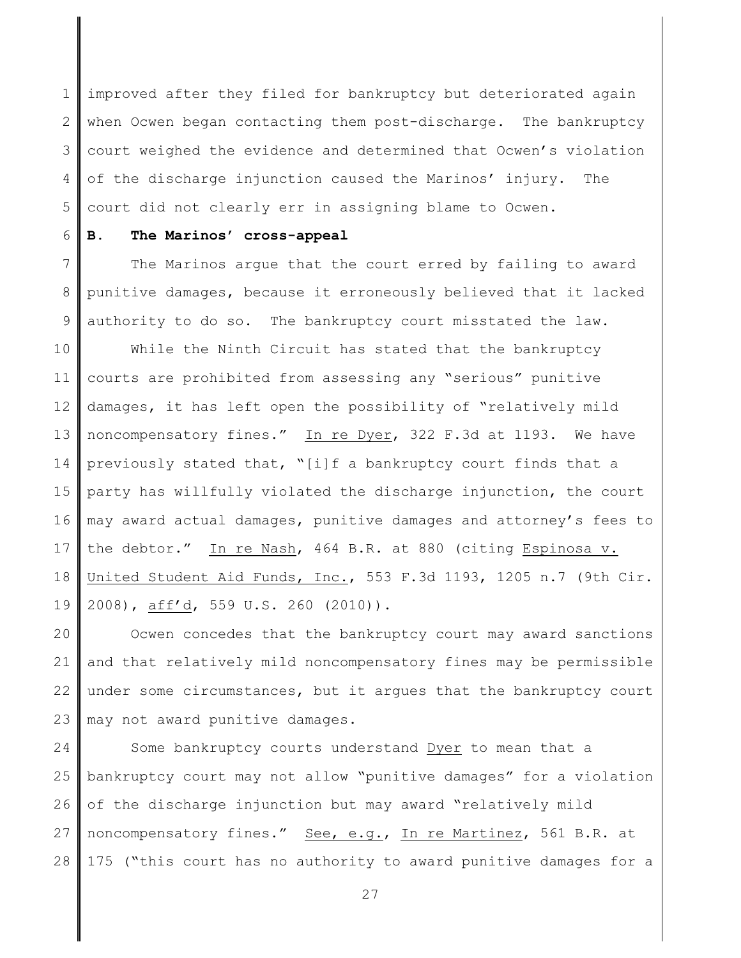1 2 3 4 5 improved after they filed for bankruptcy but deteriorated again when Ocwen began contacting them post-discharge. The bankruptcy court weighed the evidence and determined that Ocwen's violation of the discharge injunction caused the Marinos' injury. The court did not clearly err in assigning blame to Ocwen.

#### 6 **B. The Marinos' cross-appeal**

7 8 9 The Marinos argue that the court erred by failing to award punitive damages, because it erroneously believed that it lacked authority to do so. The bankruptcy court misstated the law.

10 11 12 13 14 15 16 17 18 19 While the Ninth Circuit has stated that the bankruptcy courts are prohibited from assessing any "serious" punitive damages, it has left open the possibility of "relatively mild noncompensatory fines." In re Dyer, 322 F.3d at 1193. We have previously stated that, "[i]f a bankruptcy court finds that a party has willfully violated the discharge injunction, the court may award actual damages, punitive damages and attorney's fees to the debtor." In re Nash, 464 B.R. at 880 (citing Espinosa v. United Student Aid Funds, Inc., 553 F.3d 1193, 1205 n.7 (9th Cir. 2008), aff'd, 559 U.S. 260 (2010)).

20 21 22 23 Ocwen concedes that the bankruptcy court may award sanctions and that relatively mild noncompensatory fines may be permissible under some circumstances, but it argues that the bankruptcy court may not award punitive damages.

24 25 26 27 28 Some bankruptcy courts understand Dyer to mean that a bankruptcy court may not allow "punitive damages" for a violation of the discharge injunction but may award "relatively mild noncompensatory fines." See, e.g., In re Martinez, 561 B.R. at 175 ("this court has no authority to award punitive damages for a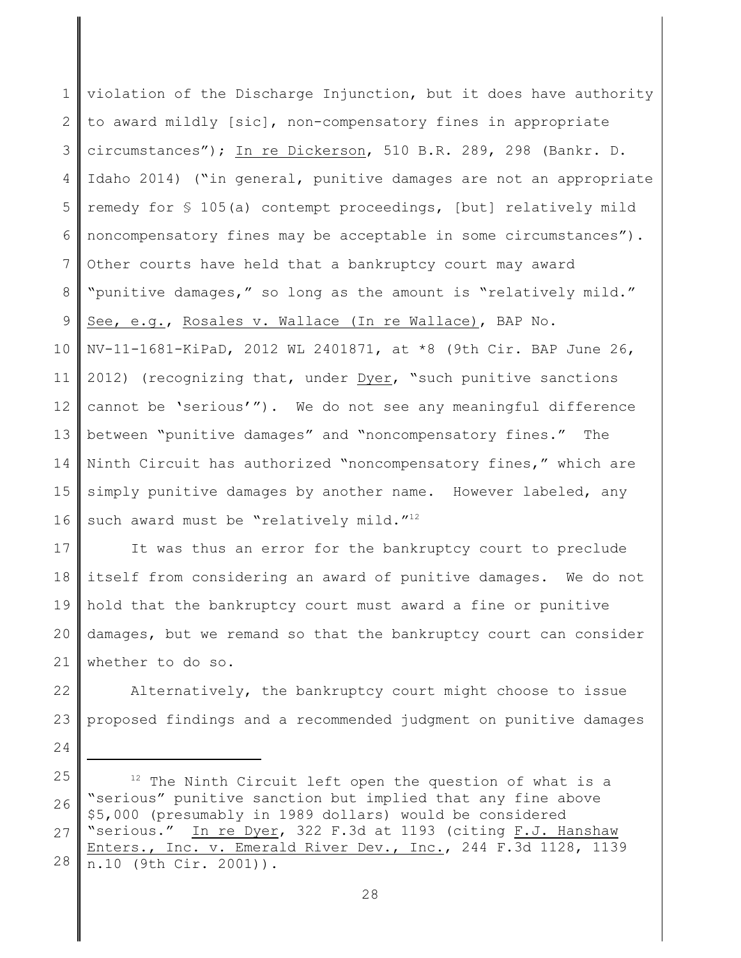1 2 3 4 5 6 7 8 9 10 11 12 13 14 15 16 violation of the Discharge Injunction, but it does have authority to award mildly [sic], non-compensatory fines in appropriate circumstances"); In re Dickerson, 510 B.R. 289, 298 (Bankr. D. Idaho 2014) ("in general, punitive damages are not an appropriate remedy for § 105(a) contempt proceedings, [but] relatively mild noncompensatory fines may be acceptable in some circumstances"). Other courts have held that a bankruptcy court may award "punitive damages," so long as the amount is "relatively mild." See, e.g., Rosales v. Wallace (In re Wallace), BAP No. NV-11-1681-KiPaD, 2012 WL 2401871, at \*8 (9th Cir. BAP June 26, 2012) (recognizing that, under Dyer, "such punitive sanctions cannot be 'serious'"). We do not see any meaningful difference between "punitive damages" and "noncompensatory fines." The Ninth Circuit has authorized "noncompensatory fines," which are simply punitive damages by another name. However labeled, any such award must be "relatively mild."<sup>12</sup>

17 18 19 20 21 It was thus an error for the bankruptcy court to preclude itself from considering an award of punitive damages. We do not hold that the bankruptcy court must award a fine or punitive damages, but we remand so that the bankruptcy court can consider whether to do so.

22 23 Alternatively, the bankruptcy court might choose to issue proposed findings and a recommended judgment on punitive damages

25 26 27 28  $12$  The Ninth Circuit left open the question of what is a "serious" punitive sanction but implied that any fine above \$5,000 (presumably in 1989 dollars) would be considered "serious." In re Dyer, 322 F.3d at 1193 (citing F.J. Hanshaw Enters., Inc. v. Emerald River Dev., Inc., 244 F.3d 1128, 1139 n.10 (9th Cir. 2001)).

24